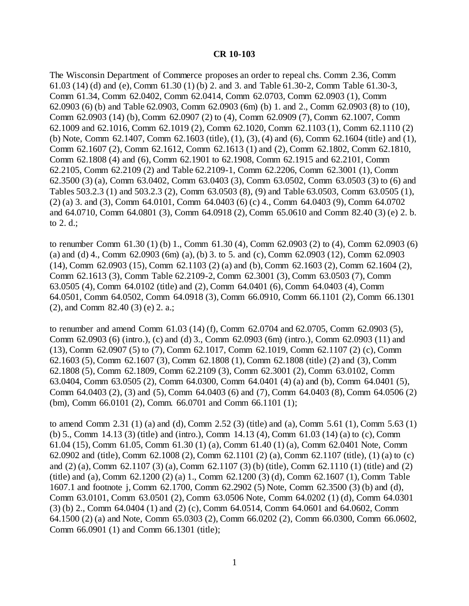### **CR 10-103**

The Wisconsin Department of Commerce proposes an order to repeal chs. Comm 2.36, Comm 61.03 (14) (d) and (e), Comm 61.30 (1) (b) 2. and 3. and Table 61.30-2, Comm Table 61.30-3, Comm 61.34, Comm 62.0402, Comm 62.0414, Comm 62.0703, Comm 62.0903 (1), Comm 62.0903 (6) (b) and Table 62.0903, Comm 62.0903 (6m) (b) 1. and 2., Comm 62.0903 (8) to (10), Comm 62.0903 (14) (b), Comm 62.0907 (2) to (4), Comm 62.0909 (7), Comm 62.1007, Comm 62.1009 and 62.1016, Comm 62.1019 (2), Comm 62.1020, Comm 62.1103 (1), Comm 62.1110 (2) (b) Note, Comm 62.1407, Comm 62.1603 (title), (1), (3), (4) and (6), Comm 62.1604 (title) and (1), Comm 62.1607 (2), Comm 62.1612, Comm 62.1613 (1) and (2), Comm 62.1802, Comm 62.1810, Comm 62.1808 (4) and (6), Comm 62.1901 to 62.1908, Comm 62.1915 and 62.2101, Comm 62.2105, Comm 62.2109 (2) and Table 62.2109-1, Comm 62.2206, Comm 62.3001 (1), Comm 62.3500 (3) (a), Comm 63.0402, Comm 63.0403 (3), Comm 63.0502, Comm 63.0503 (3) to (6) and Tables 503.2.3 (1) and 503.2.3 (2), Comm 63.0503 (8), (9) and Table 63.0503, Comm 63.0505 (1), (2) (a) 3. and (3), Comm 64.0101, Comm 64.0403 (6) (c) 4., Comm 64.0403 (9), Comm 64.0702 and 64.0710, Comm 64.0801 (3), Comm 64.0918 (2), Comm 65.0610 and Comm 82.40 (3) (e) 2. b. to 2. d.;

to renumber Comm 61.30 (1) (b) 1., Comm 61.30 (4), Comm 62.0903 (2) to (4), Comm 62.0903 (6) (a) and (d) 4., Comm 62.0903 (6m) (a), (b) 3. to 5. and (c), Comm 62.0903 (12), Comm 62.0903 (14), Comm 62.0903 (15), Comm 62.1103 (2) (a) and (b), Comm 62.1603 (2), Comm 62.1604 (2), Comm 62.1613 (3), Comm Table 62.2109-2, Comm 62.3001 (3), Comm 63.0503 (7), Comm 63.0505 (4), Comm 64.0102 (title) and (2), Comm 64.0401 (6), Comm 64.0403 (4), Comm 64.0501, Comm 64.0502, Comm 64.0918 (3), Comm 66.0910, Comm 66.1101 (2), Comm 66.1301 (2), and Comm 82.40 (3) (e) 2. a.;

to renumber and amend Comm 61.03 (14) (f), Comm 62.0704 and 62.0705, Comm 62.0903 (5), Comm 62.0903 (6) (intro.), (c) and (d) 3., Comm 62.0903 (6m) (intro.), Comm 62.0903 (11) and (13), Comm 62.0907 (5) to (7), Comm 62.1017, Comm 62.1019, Comm 62.1107 (2) (c), Comm 62.1603 (5), Comm 62.1607 (3), Comm 62.1808 (1), Comm 62.1808 (title) (2) and (3), Comm 62.1808 (5), Comm 62.1809, Comm 62.2109 (3), Comm 62.3001 (2), Comm 63.0102, Comm 63.0404, Comm 63.0505 (2), Comm 64.0300, Comm 64.0401 (4) (a) and (b), Comm 64.0401 (5), Comm 64.0403 (2), (3) and (5), Comm 64.0403 (6) and (7), Comm 64.0403 (8), Comm 64.0506 (2) (bm), Comm 66.0101 (2), Comm. 66.0701 and Comm 66.1101 (1);

to amend Comm 2.31 (1) (a) and (d), Comm 2.52 (3) (title) and (a), Comm 5.61 (1), Comm 5.63 (1) (b) 5., Comm 14.13 (3) (title) and (intro.), Comm 14.13 (4), Comm 61.03 (14) (a) to (c), Comm 61.04 (15), Comm 61.05, Comm 61.30 (1) (a), Comm 61.40 (1) (a), Comm 62.0401 Note, Comm 62.0902 and (title), Comm 62.1008 (2), Comm 62.1101 (2) (a), Comm 62.1107 (title), (1) (a) to (c) and (2) (a), Comm 62.1107 (3) (a), Comm 62.1107 (3) (b) (title), Comm 62.1110 (1) (title) and (2) (title) and (a), Comm 62.1200 (2) (a) 1., Comm 62.1200 (3) (d), Comm 62.1607 (1), Comm Table 1607.1 and footnote j, Comm 62.1700, Comm 62.2902 (5) Note, Comm 62.3500 (3) (b) and (d), Comm 63.0101, Comm 63.0501 (2), Comm 63.0506 Note, Comm 64.0202 (1) (d), Comm 64.0301 (3) (b) 2., Comm 64.0404 (1) and (2) (c), Comm 64.0514, Comm 64.0601 and 64.0602, Comm 64.1500 (2) (a) and Note, Comm 65.0303 (2), Comm 66.0202 (2), Comm 66.0300, Comm 66.0602, Comm 66.0901 (1) and Comm 66.1301 (title);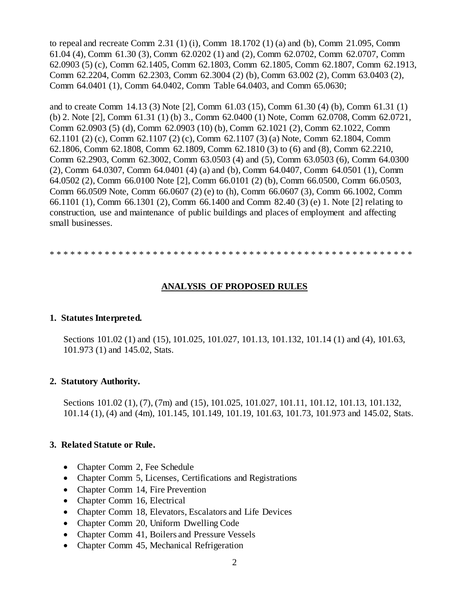to repeal and recreate Comm 2.31 (1) (i), Comm 18.1702 (1) (a) and (b), Comm 21.095, Comm 61.04 (4), Comm 61.30 (3), Comm 62.0202 (1) and (2), Comm 62.0702, Comm 62.0707, Comm 62.0903 (5) (c), Comm 62.1405, Comm 62.1803, Comm 62.1805, Comm 62.1807, Comm 62.1913, Comm 62.2204, Comm 62.2303, Comm 62.3004 (2) (b), Comm 63.002 (2), Comm 63.0403 (2), Comm 64.0401 (1), Comm 64.0402, Comm Table 64.0403, and Comm 65.0630;

and to create Comm 14.13 (3) Note [2], Comm 61.03 (15), Comm 61.30 (4) (b), Comm 61.31 (1) (b) 2. Note [2], Comm 61.31 (1) (b) 3., Comm 62.0400 (1) Note, Comm 62.0708, Comm 62.0721, Comm 62.0903 (5) (d), Comm 62.0903 (10) (b), Comm 62.1021 (2), Comm 62.1022, Comm 62.1101 (2) (c), Comm 62.1107 (2) (c), Comm 62.1107 (3) (a) Note, Comm 62.1804, Comm 62.1806, Comm 62.1808, Comm 62.1809, Comm 62.1810 (3) to (6) and (8), Comm 62.2210, Comm 62.2903, Comm 62.3002, Comm 63.0503 (4) and (5), Comm 63.0503 (6), Comm 64.0300 (2), Comm 64.0307, Comm 64.0401 (4) (a) and (b), Comm 64.0407, Comm 64.0501 (1), Comm 64.0502 (2), Comm 66.0100 Note [2], Comm 66.0101 (2) (b), Comm 66.0500, Comm 66.0503, Comm 66.0509 Note, Comm 66.0607 (2) (e) to (h), Comm 66.0607 (3), Comm 66.1002, Comm 66.1101 (1), Comm 66.1301 (2), Comm 66.1400 and Comm 82.40 (3) (e) 1. Note [2] relating to construction, use and maintenance of public buildings and places of employment and affecting small businesses.

\* \* \* \* \* \* \* \* \* \* \* \* \* \* \* \* \* \* \* \* \* \* \* \* \* \* \* \* \* \* \* \* \* \* \* \* \* \* \* \* \* \* \* \* \* \* \* \* \* \* \* \* \*

### **ANALYSIS OF PROPOSED RULES**

#### **1. Statutes Interpreted.**

Sections 101.02 (1) and (15), 101.025, 101.027, 101.13, 101.132, 101.14 (1) and (4), 101.63, 101.973 (1) and 145.02, Stats.

#### **2. Statutory Authority.**

Sections 101.02 (1), (7), (7m) and (15), 101.025, 101.027, 101.11, 101.12, 101.13, 101.132, 101.14 (1), (4) and (4m), 101.145, 101.149, 101.19, 101.63, 101.73, 101.973 and 145.02, Stats.

#### **3. Related Statute or Rule.**

- Chapter Comm 2, Fee Schedule
- Chapter Comm 5, Licenses, Certifications and Registrations
- Chapter Comm 14, Fire Prevention
- Chapter Comm 16, Electrical
- Chapter Comm 18, Elevators, Escalators and Life Devices
- Chapter Comm 20, Uniform Dwelling Code
- Chapter Comm 41, Boilers and Pressure Vessels
- Chapter Comm 45, Mechanical Refrigeration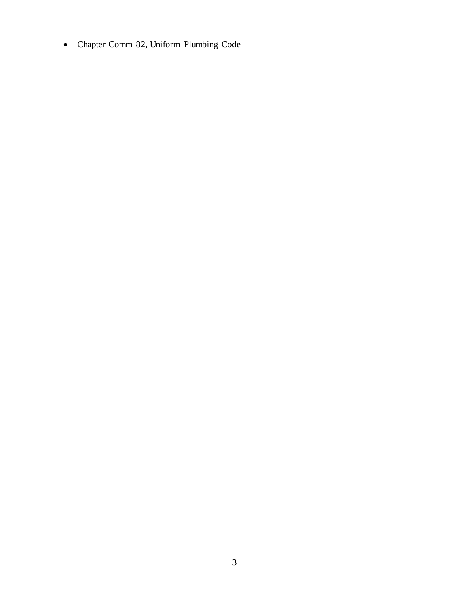Chapter Comm 82, Uniform Plumbing Code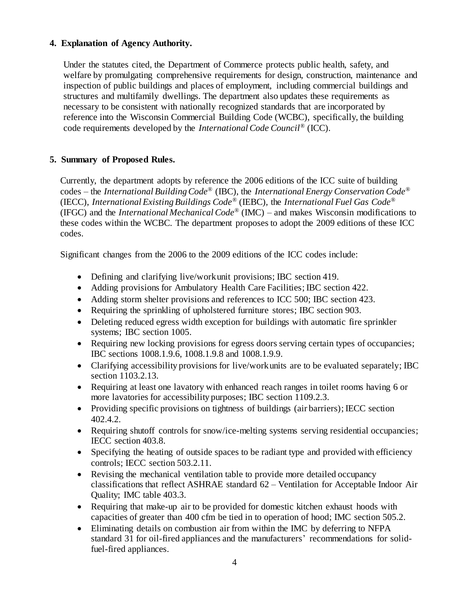## **4. Explanation of Agency Authority.**

Under the statutes cited, the Department of Commerce protects public health, safety, and welfare by promulgating comprehensive requirements for design, construction, maintenance and inspection of public buildings and places of employment, including commercial buildings and structures and multifamily dwellings. The department also updates these requirements as necessary to be consistent with nationally recognized standards that are incorporated by reference into the Wisconsin Commercial Building Code (WCBC), specifically, the building code requirements developed by the *International Code Council*® (ICC).

### **5. Summary of Proposed Rules.**

Currently, the department adopts by reference the 2006 editions of the ICC suite of building codes – the *International Building Code*® (IBC), the *International Energy Conservation Code*® (IECC), *International Existing Buildings Code®* (IEBC), the *International Fuel Gas Code*® (IFGC) and the *International Mechanical Code*® (IMC) – and makes Wisconsin modifications to these codes within the WCBC. The department proposes to adopt the 2009 editions of these ICC codes.

Significant changes from the 2006 to the 2009 editions of the ICC codes include:

- Defining and clarifying live/work unit provisions; IBC section 419.
- Adding provisions for Ambulatory Health Care Facilities; IBC section 422.
- Adding storm shelter provisions and references to ICC 500; IBC section 423.
- Requiring the sprinkling of upholstered furniture stores; IBC section 903.
- Deleting reduced egress width exception for buildings with automatic fire sprinkler systems; IBC section 1005.
- Requiring new locking provisions for egress doors serving certain types of occupancies; IBC sections 1008.1.9.6, 1008.1.9.8 and 1008.1.9.9.
- Clarifying accessibility provisions for live/work units are to be evaluated separately; IBC section 1103.2.13.
- Requiring at least one lavatory with enhanced reach ranges in toilet rooms having 6 or more lavatories for accessibility purposes; IBC section 1109.2.3.
- Providing specific provisions on tightness of buildings (air barriers); IECC section 402.4.2.
- Requiring shutoff controls for snow/ice-melting systems serving residential occupancies; IECC section 403.8.
- Specifying the heating of outside spaces to be radiant type and provided with efficiency controls; IECC section 503.2.11.
- Revising the mechanical ventilation table to provide more detailed occupancy classifications that reflect ASHRAE standard 62 – Ventilation for Acceptable Indoor Air Quality; IMC table 403.3.
- Requiring that make-up air to be provided for domestic kitchen exhaust hoods with capacities of greater than 400 cfm be tied in to operation of hood; IMC section 505.2.
- Eliminating details on combustion air from within the IMC by deferring to NFPA standard 31 for oil-fired appliances and the manufacturers' recommendations for solidfuel-fired appliances.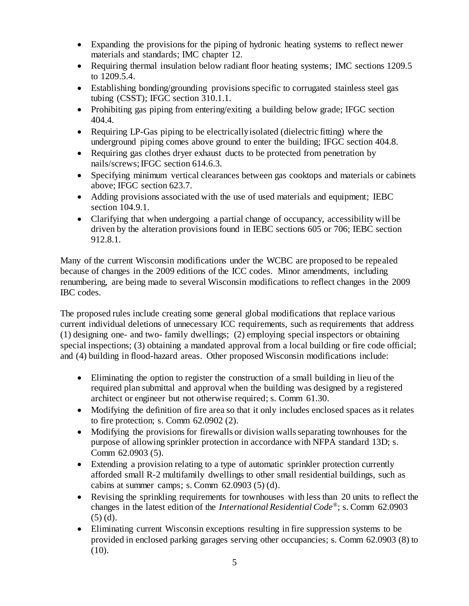- Expanding the provisions for the piping of hydronic heating systems to reflect newer materials and standards; IMC chapter 12.
- Requiring thermal insulation below radiant floor heating systems; IMC sections 1209.5 to 1209.5.4.
- Establishing bonding/grounding provisions specific to corrugated stainless steel gas tubing (CSST); IFGC section 310.1.1.
- Prohibiting gas piping from entering/exiting a building below grade; IFGC section 404.4.
- Requiring LP-Gas piping to be electrically isolated (dielectric fitting) where the underground piping comes above ground to enter the building; IFGC section 404.8.
- Requiring gas clothes dryer exhaust ducts to be protected from penetration by nails/screws;IFGC section 614.6.3.
- Specifying minimum vertical clearances between gas cooktops and materials or cabinets above; IFGC section 623.7.
- Adding provisions associated with the use of used materials and equipment; IEBC section 104.9.1.
- Clarifying that when undergoing a partial change of occupancy, accessibility will be driven by the alteration provisions found in IEBC sections 605 or 706; IEBC section 912.8.1.

Many of the current Wisconsin modifications under the WCBC are proposed to be repealed because of changes in the 2009 editions of the ICC codes. Minor amendments, including renumbering, are being made to several Wisconsin modifications to reflect changes in the 2009 IBC codes.

The proposed rules include creating some general global modifications that replace various current individual deletions of unnecessary ICC requirements, such as requirements that address (1) designing one- and two- family dwellings; (2) employing special inspectors or obtaining special inspections; (3) obtaining a mandated approval from a local building or fire code official; and (4) building in flood-hazard areas. Other proposed Wisconsin modifications include:

- Eliminating the option to register the construction of a small building in lieu of the required plan submittal and approval when the building was designed by a registered architect or engineer but not otherwise required; s. Comm 61.30.
- Modifying the definition of fire area so that it only includes enclosed spaces as it relates to fire protection; s. Comm 62.0902 (2).
- Modifying the provisions for firewalls or division walls separating townhouses for the purpose of allowing sprinkler protection in accordance with NFPA standard 13D; s. Comm 62.0903 (5).
- Extending a provision relating to a type of automatic sprinkler protection currently afforded small R-2 multifamily dwellings to other small residential buildings, such as cabins at summer camps; s. Comm  $62.0903$  (5) (d).
- Revising the sprinkling requirements for townhouses with less than 20 units to reflect the changes in the latest edition of the *International Residential Code*®; s. Comm 62.0903 (5) (d).
- Eliminating current Wisconsin exceptions resulting in fire suppression systems to be provided in enclosed parking garages serving other occupancies; s. Comm 62.0903 (8) to  $(10).$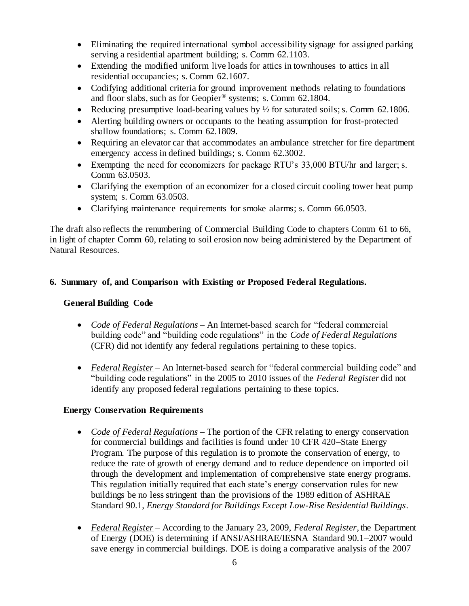- Eliminating the required international symbol accessibility signage for assigned parking serving a residential apartment building; s. Comm 62.1103.
- Extending the modified uniform live loads for attics in townhouses to attics in all residential occupancies; s. Comm 62.1607.
- Codifying additional criteria for ground improvement methods relating to foundations and floor slabs, such as for Geopier® systems; s. Comm 62.1804.
- Reducing presumptive load-bearing values by  $\frac{1}{2}$  for saturated soils; s. Comm 62.1806.
- Alerting building owners or occupants to the heating assumption for frost-protected shallow foundations; s. Comm 62.1809.
- Requiring an elevator car that accommodates an ambulance stretcher for fire department emergency access in defined buildings; s. Comm 62.3002.
- Exempting the need for economizers for package RTU's 33,000 BTU/hr and larger; s. Comm 63.0503.
- Clarifying the exemption of an economizer for a closed circuit cooling tower heat pump system; s. Comm 63.0503.
- Clarifying maintenance requirements for smoke alarms; s. Comm 66.0503.

The draft also reflects the renumbering of Commercial Building Code to chapters Comm 61 to 66, in light of chapter Comm 60, relating to soil erosion now being administered by the Department of Natural Resources.

## **6. Summary of, and Comparison with Existing or Proposed Federal Regulations.**

### **General Building Code**

- *Code of Federal Regulations* An Internet-based search for "federal commercial building code" and "building code regulations" in the *Code of Federal Regulations* (CFR) did not identify any federal regulations pertaining to these topics.
- *Federal Register* An Internet-based search for "federal commercial building code" and "building code regulations" in the 2005 to 2010 issues of the *Federal Register* did not identify any proposed federal regulations pertaining to these topics.

### **Energy Conservation Requirements**

- *Code of Federal Regulations* The portion of the CFR relating to energy conservation for commercial buildings and facilities is found under 10 CFR 420–State Energy Program. The purpose of this regulation is to promote the conservation of energy, to reduce the rate of growth of energy demand and to reduce dependence on imported oil through the development and implementation of comprehensive state energy programs. This regulation initially required that each state's energy conservation rules for new buildings be no less stringent than the provisions of the 1989 edition of ASHRAE Standard 90.1, *Energy Standard for Buildings Except Low-Rise Residential Buildings*.
- *Federal Register –* According to the January 23, 2009, *Federal Register*, the Department of Energy (DOE) is determining if ANSI/ASHRAE/IESNA Standard 90.1–2007 would save energy in commercial buildings. DOE is doing a comparative analysis of the 2007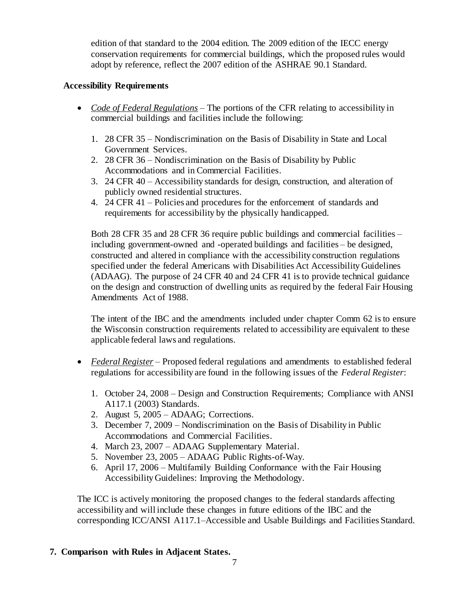edition of that standard to the 2004 edition. The 2009 edition of the IECC energy conservation requirements for commercial buildings, which the proposed rules would adopt by reference, reflect the 2007 edition of the ASHRAE 90.1 Standard.

## **Accessibility Requirements**

- *Code of Federal Regulations* The portions of the CFR relating to accessibility in commercial buildings and facilities include the following:
	- 1. 28 CFR 35 Nondiscrimination on the Basis of Disability in State and Local Government Services.
	- 2. 28 CFR 36 Nondiscrimination on the Basis of Disability by Public Accommodations and in Commercial Facilities.
	- 3. 24 CFR 40 Accessibility standards for design, construction, and alteration of publicly owned residential structures.
	- 4. 24 CFR 41 Policies and procedures for the enforcement of standards and requirements for accessibility by the physically handicapped.

Both 28 CFR 35 and 28 CFR 36 require public buildings and commercial facilities – including government-owned and -operated buildings and facilities – be designed, constructed and altered in compliance with the accessibility construction regulations specified under the federal Americans with Disabilities Act Accessibility Guidelines (ADAAG). The purpose of 24 CFR 40 and 24 CFR 41 is to provide technical guidance on the design and construction of dwelling units as required by the federal Fair Housing Amendments Act of 1988.

The intent of the IBC and the amendments included under chapter Comm 62 is to ensure the Wisconsin construction requirements related to accessibility are equivalent to these applicable federal laws and regulations.

- *Federal Register* Proposed federal regulations and amendments to established federal regulations for accessibility are found in the following issues of the *Federal Register*:
	- 1. October 24, 2008 Design and Construction Requirements; Compliance with ANSI A117.1 (2003) Standards.
	- 2. August 5, 2005 ADAAG; Corrections.
	- 3. December 7, 2009 Nondiscrimination on the Basis of Disability in Public Accommodations and Commercial Facilities.
	- 4. March 23, 2007 ADAAG Supplementary Material.
	- 5. November 23, 2005 ADAAG Public Rights-of-Way.
	- 6. April 17, 2006 Multifamily Building Conformance with the Fair Housing Accessibility Guidelines: Improving the Methodology.

The ICC is actively monitoring the proposed changes to the federal standards affecting accessibility and will include these changes in future editions of the IBC and the corresponding ICC/ANSI A117.1–Accessible and Usable Buildings and Facilities Standard.

## **7. Comparison with Rules in Adjacent States.**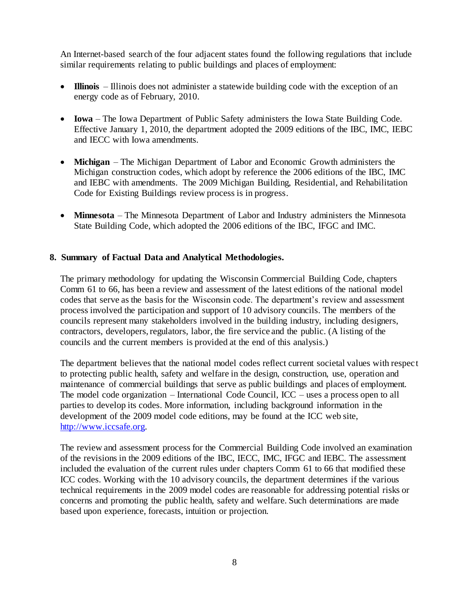An Internet-based search of the four adjacent states found the following regulations that include similar requirements relating to public buildings and places of employment:

- **Illinois** Illinois does not administer a statewide building code with the exception of an energy code as of February, 2010.
- **Iowa** The Iowa Department of Public Safety administers the Iowa State Building Code. Effective January 1, 2010, the department adopted the 2009 editions of the IBC, IMC, IEBC and IECC with Iowa amendments.
- **Michigan** The Michigan Department of Labor and Economic Growth administers the Michigan construction codes, which adopt by reference the 2006 editions of the IBC, IMC and IEBC with amendments. The 2009 Michigan Building, Residential, and Rehabilitation Code for Existing Buildings review process is in progress.
- **Minnesota** The Minnesota Department of Labor and Industry administers the Minnesota State Building Code, which adopted the 2006 editions of the IBC, IFGC and IMC.

### **8. Summary of Factual Data and Analytical Methodologies.**

The primary methodology for updating the Wisconsin Commercial Building Code, chapters Comm 61 to 66, has been a review and assessment of the latest editions of the national model codes that serve as the basis for the Wisconsin code. The department's review and assessment process involved the participation and support of 10 advisory councils. The members of the councils represent many stakeholders involved in the building industry, including designers, contractors, developers, regulators, labor, the fire service and the public. (A listing of the councils and the current members is provided at the end of this analysis.)

The department believes that the national model codes reflect current societal values with respect to protecting public health, safety and welfare in the design, construction, use, operation and maintenance of commercial buildings that serve as public buildings and places of employment. The model code organization – International Code Council, ICC – uses a process open to all parties to develop its codes. More information, including background information in the development of the 2009 model code editions, may be found at the ICC web site, [http://www.iccsafe.org.](http://www.iccsafe.org/)

The review and assessment process for the Commercial Building Code involved an examination of the revisions in the 2009 editions of the IBC, IECC, IMC, IFGC and IEBC. The assessment included the evaluation of the current rules under chapters Comm 61 to 66 that modified these ICC codes. Working with the 10 advisory councils, the department determines if the various technical requirements in the 2009 model codes are reasonable for addressing potential risks or concerns and promoting the public health, safety and welfare. Such determinations are made based upon experience, forecasts, intuition or projection.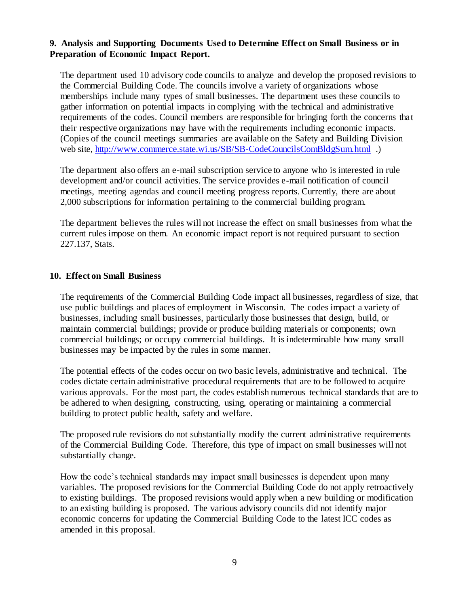### **9. Analysis and Supporting Documents Used to Determine Effect on Small Business or in Preparation of Economic Impact Report.**

The department used 10 advisory code councils to analyze and develop the proposed revisions to the Commercial Building Code. The councils involve a variety of organizations whose memberships include many types of small businesses. The department uses these councils to gather information on potential impacts in complying with the technical and administrative requirements of the codes. Council members are responsible for bringing forth the concerns that their respective organizations may have with the requirements including economic impacts. (Copies of the council meetings summaries are available on the Safety and Building Division web site,<http://www.commerce.state.wi.us/SB/SB-CodeCouncilsComBldgSum.html> .)

The department also offers an e-mail subscription service to anyone who is interested in rule development and/or council activities. The service provides e-mail notification of council meetings, meeting agendas and council meeting progress reports. Currently, there are about 2,000 subscriptions for information pertaining to the commercial building program.

The department believes the rules will not increase the effect on small businesses from what the current rules impose on them. An economic impact report is not required pursuant to section 227.137, Stats.

### **10. Effect on Small Business**

The requirements of the Commercial Building Code impact all businesses, regardless of size, that use public buildings and places of employment in Wisconsin. The codes impact a variety of businesses, including small businesses, particularly those businesses that design, build, or maintain commercial buildings; provide or produce building materials or components; own commercial buildings; or occupy commercial buildings. It is indeterminable how many small businesses may be impacted by the rules in some manner.

The potential effects of the codes occur on two basic levels, administrative and technical. The codes dictate certain administrative procedural requirements that are to be followed to acquire various approvals. For the most part, the codes establish numerous technical standards that are to be adhered to when designing, constructing, using, operating or maintaining a commercial building to protect public health, safety and welfare.

The proposed rule revisions do not substantially modify the current administrative requirements of the Commercial Building Code. Therefore, this type of impact on small businesses will not substantially change.

How the code's technical standards may impact small businesses is dependent upon many variables. The proposed revisions for the Commercial Building Code do not apply retroactively to existing buildings. The proposed revisions would apply when a new building or modification to an existing building is proposed. The various advisory councils did not identify major economic concerns for updating the Commercial Building Code to the latest ICC codes as amended in this proposal.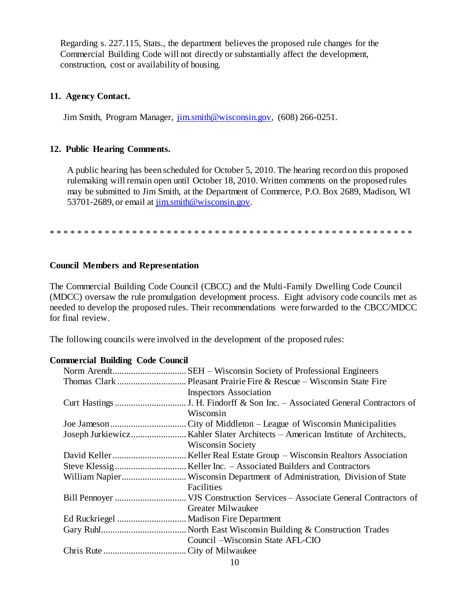Regarding s. 227.115, Stats., the department believes the proposed rule changes for the Commercial Building Code will not directly or substantially affect the development, construction, cost or availability of housing.

### **11. Agency Contact.**

Jim Smith, Program Manager,  $\overline{\lim_{m \to \infty}}$ th@wisconsin.gov, (608) 266-0251.

### **12. Public Hearing Comments.**

A public hearing has been scheduled for October 5, 2010. The hearing record on this proposed rulemaking will remain open until October 18, 2010. Written comments on the proposed rules may be submitted to Jim Smith, at the Department of Commerce, P.O. Box 2689, Madison, WI 53701-2689, or email at [jim.smith@wisconsin.gov.](mailto:jim.smith@wisconsin.gov)

\* \* \* \* \* \* \* \* \* \* \* \* \* \* \* \* \* \* \* \* \* \* \* \* \* \* \* \* \* \* \* \* \* \* \* \* \* \* \* \* \* \* \* \* \* \* \* \* \* \* \* \* \*

### **Council Members and Representation**

The Commercial Building Code Council (CBCC) and the Multi-Family Dwelling Code Council (MDCC) oversaw the rule promulgation development process. Eight advisory code councils met as needed to develop the proposed rules. Their recommendations were forwarded to the CBCC/MDCC for final review.

The following councils were involved in the development of the proposed rules:

### **Commercial Building Code Council**

| <b>Inspectors Association</b>     |
|-----------------------------------|
|                                   |
| Wisconsin                         |
|                                   |
|                                   |
| <b>Wisconsin Society</b>          |
|                                   |
|                                   |
|                                   |
| Facilities                        |
|                                   |
| Greater Milwaukee                 |
|                                   |
|                                   |
| Council – Wisconsin State AFL-CIO |
|                                   |
|                                   |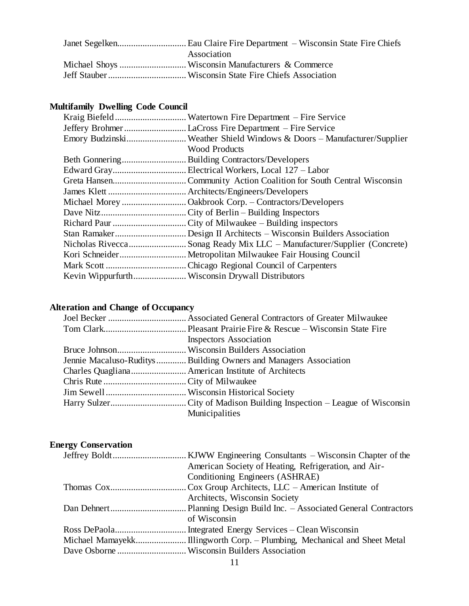| Association |
|-------------|
|             |
|             |

# **Multifamily Dwelling Code Council**

| Emory BudzinskiWeather Shield Windows & Doors - Manufacturer/Supplier<br><b>Wood Products</b><br>Nicholas RiveccaSonag Ready Mix LLC – Manufacturer/Supplier (Concrete) |  |
|-------------------------------------------------------------------------------------------------------------------------------------------------------------------------|--|
|                                                                                                                                                                         |  |
|                                                                                                                                                                         |  |
|                                                                                                                                                                         |  |
|                                                                                                                                                                         |  |
|                                                                                                                                                                         |  |
|                                                                                                                                                                         |  |
|                                                                                                                                                                         |  |
|                                                                                                                                                                         |  |
|                                                                                                                                                                         |  |
|                                                                                                                                                                         |  |
|                                                                                                                                                                         |  |
|                                                                                                                                                                         |  |
|                                                                                                                                                                         |  |
|                                                                                                                                                                         |  |
|                                                                                                                                                                         |  |

# **Alteration and Change of Occupancy**

| <b>Inspectors Association</b>                                     |
|-------------------------------------------------------------------|
|                                                                   |
| Jennie Macaluso-Ruditys  Building Owners and Managers Association |
|                                                                   |
|                                                                   |
|                                                                   |
|                                                                   |
| Municipalities                                                    |
|                                                                   |

# **Energy Conservation**

| American Society of Heating, Refrigeration, and Air- |
|------------------------------------------------------|
| Conditioning Engineers (ASHRAE)                      |
|                                                      |
| Architects, Wisconsin Society                        |
|                                                      |
| of Wisconsin                                         |
|                                                      |
|                                                      |
|                                                      |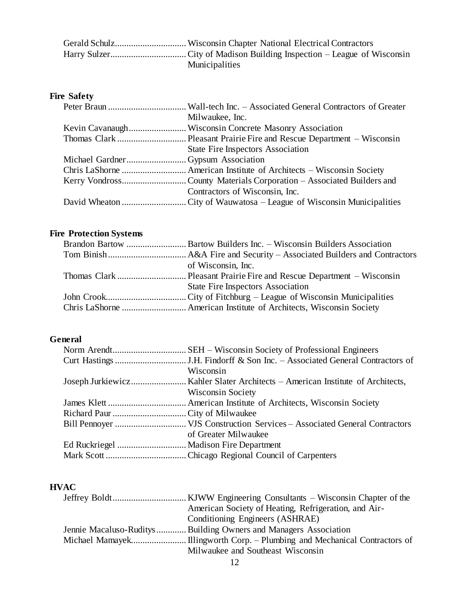| <b>Municipalities</b> |
|-----------------------|

# **Fire Safety**

| Milwaukee, Inc.                          |
|------------------------------------------|
|                                          |
|                                          |
| <b>State Fire Inspectors Association</b> |
|                                          |
|                                          |
|                                          |
| Contractors of Wisconsin, Inc.           |
|                                          |

# **Fire Protection Systems**

| of Wisconsin, Inc.                       |
|------------------------------------------|
|                                          |
| <b>State Fire Inspectors Association</b> |
|                                          |
|                                          |

# **General**

| Wisconsin                |
|--------------------------|
|                          |
| <b>Wisconsin Society</b> |
|                          |
|                          |
|                          |
| of Greater Milwaukee     |
|                          |
|                          |

# **HVAC**

| American Society of Heating, Refrigeration, and Air-              |
|-------------------------------------------------------------------|
| Conditioning Engineers (ASHRAE)                                   |
| Jennie Macaluso-Ruditys  Building Owners and Managers Association |
|                                                                   |
| Milwaukee and Southeast Wisconsin                                 |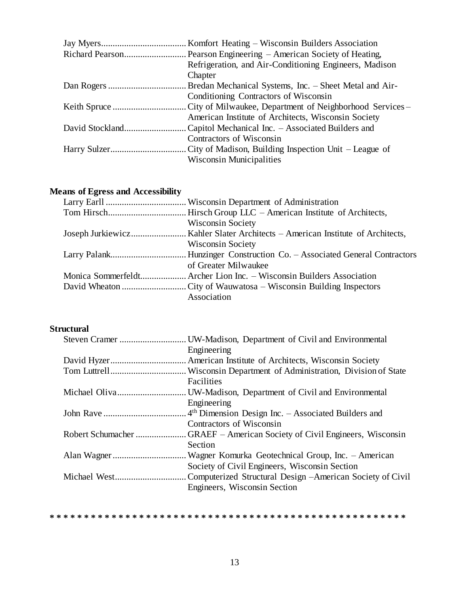| Refrigeration, and Air-Conditioning Engineers, Madison |
|--------------------------------------------------------|
| Chapter                                                |
|                                                        |
| Conditioning Contractors of Wisconsin                  |
|                                                        |
| American Institute of Architects, Wisconsin Society    |
|                                                        |
| Contractors of Wisconsin                               |
|                                                        |
| <b>Wisconsin Municipalities</b>                        |
|                                                        |

# **Means of Egress and Accessibility**

| <b>Wisconsin Society</b>                                             |
|----------------------------------------------------------------------|
|                                                                      |
| <b>Wisconsin Society</b>                                             |
|                                                                      |
| of Greater Milwaukee                                                 |
| Monica Sommerfeldt Archer Lion Inc. – Wisconsin Builders Association |
|                                                                      |
| Association                                                          |

## **Structural**

|                   | . UW-Madison, Department of Civil and Environmental             |
|-------------------|-----------------------------------------------------------------|
|                   | Engineering                                                     |
|                   |                                                                 |
|                   |                                                                 |
|                   | Facilities                                                      |
|                   | . UW-Madison, Department of Civil and Environmental             |
|                   | Engineering                                                     |
|                   | 4 <sup>th</sup> Dimension Design Inc. – Associated Builders and |
|                   | Contractors of Wisconsin                                        |
| Robert Schumacher | . GRAEF – American Society of Civil Engineers, Wisconsin        |
|                   | Section                                                         |
|                   |                                                                 |
|                   | Society of Civil Engineers, Wisconsin Section                   |
|                   | Computerized Structural Design – American Society of Civil      |
|                   | Engineers, Wisconsin Section                                    |
|                   |                                                                 |

#### **\* \* \* \* \* \* \* \* \* \* \* \* \* \* \* \* \* \* \* \* \* \* \* \* \* \* \* \* \* \* \* \* \* \* \* \* \* \* \* \* \* \* \* \* \* \* \* \* \* \* \* \***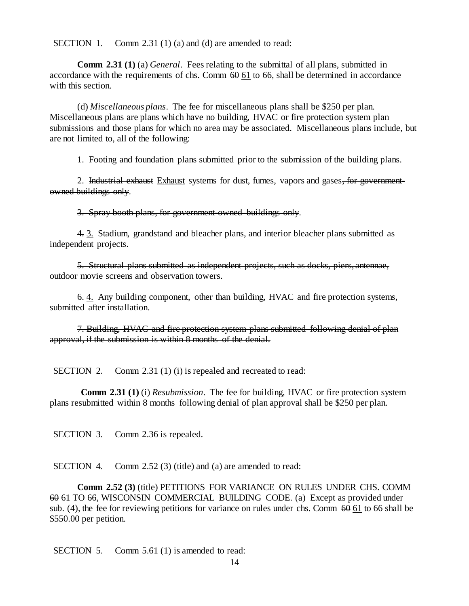SECTION 1. Comm 2.31 (1) (a) and (d) are amended to read:

**Comm 2.31 (1)** (a) *General*. Fees relating to the submittal of all plans, submitted in accordance with the requirements of chs. Comm  $60\overline{61}$  to 66, shall be determined in accordance with this section.

(d) *Miscellaneous plans*. The fee for miscellaneous plans shall be \$250 per plan. Miscellaneous plans are plans which have no building, HVAC or fire protection system plan submissions and those plans for which no area may be associated. Miscellaneous plans include, but are not limited to, all of the following:

1. Footing and foundation plans submitted prior to the submission of the building plans.

2. Industrial exhaust Exhaust systems for dust, fumes, vapors and gases, for governmentowned buildings only.

3. Spray booth plans, for government-owned buildings only.

4. 3. Stadium, grandstand and bleacher plans, and interior bleacher plans submitted as independent projects.

5. Structural plans submitted as independent projects, such as docks, piers, antennae, outdoor movie screens and observation towers.

6. 4. Any building component, other than building, HVAC and fire protection systems, submitted after installation.

7. Building, HVAC and fire protection system plans submitted following denial of plan approval, if the submission is within 8 months of the denial.

SECTION 2. Comm 2.31 (1) (i) is repealed and recreated to read:

**Comm 2.31 (1)** (i) *Resubmission*. The fee for building, HVAC or fire protection system plans resubmitted within 8 months following denial of plan approval shall be \$250 per plan.

SECTION 3. Comm 2.36 is repealed.

SECTION 4. Comm 2.52 (3) (title) and (a) are amended to read:

**Comm 2.52 (3)** (title) PETITIONS FOR VARIANCE ON RULES UNDER CHS. COMM 60 61 TO 66, WISCONSIN COMMERCIAL BUILDING CODE. (a) Except as provided under sub. (4), the fee for reviewing petitions for variance on rules under chs. Comm  $60\overline{61}$  to 66 shall be \$550.00 per petition.

SECTION 5. Comm 5.61 (1) is amended to read: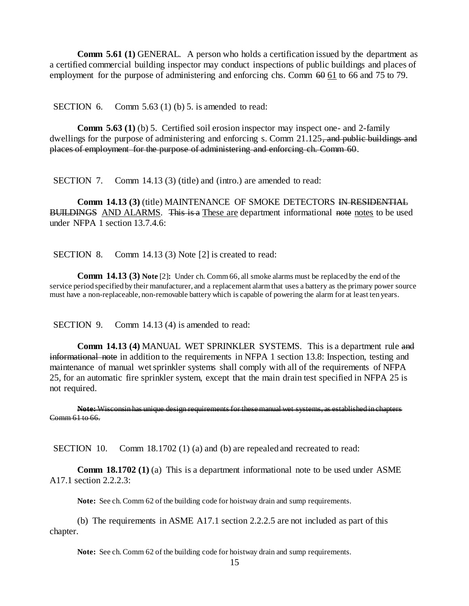**Comm 5.61 (1)** GENERAL. A person who holds a certification issued by the department as a certified commercial building inspector may conduct inspections of public buildings and places of employment for the purpose of administering and enforcing chs. Comm  $60 \times 61$  to 66 and 75 to 79.

SECTION 6. Comm 5.63 (1) (b) 5. is amended to read:

**Comm 5.63 (1)** (b) 5. Certified soil erosion inspector may inspect one- and 2-family dwellings for the purpose of administering and enforcing s. Comm 21.125, and public buildings and places of employment for the purpose of administering and enforcing ch. Comm 60.

SECTION 7. Comm 14.13 (3) (title) and (intro.) are amended to read:

**Comm 14.13 (3) (title) MAINTENANCE OF SMOKE DETECTORS IN RESIDENTIAL** BUILDINGS AND ALARMS. This is a These are department informational note notes to be used under NFPA 1 section 13.7.4.6:

SECTION 8. Comm 14.13 (3) Note [2] is created to read:

**Comm 14.13 (3) Note** [2]**:** Under ch. Comm 66, all smoke alarms must be replaced by the end of the service period specified by their manufacturer, and a replacement alarm that uses a battery as the primary power source must have a non-replaceable, non-removable battery which is capable of powering the alarm for at least ten years.

SECTION 9. Comm 14.13 (4) is amended to read:

**Comm 14.13 (4)** MANUAL WET SPRINKLER SYSTEMS. This is a department rule and informational note in addition to the requirements in NFPA 1 section 13.8: Inspection, testing and maintenance of manual wet sprinkler systems shall comply with all of the requirements of NFPA 25, for an automatic fire sprinkler system, except that the main drain test specified in NFPA 25 is not required.

**Note:** Wisconsin has unique design requirements for these manual wet systems, as established in chapters Comm 61 to 66.

SECTION 10. Comm 18.1702 (1) (a) and (b) are repealed and recreated to read:

**Comm 18.1702 (1)** (a) This is a department informational note to be used under ASME A17.1 section 2.2.2.3:

**Note:** See ch. Comm 62 of the building code for hoistway drain and sump requirements.

(b) The requirements in ASME A17.1 section 2.2.2.5 are not included as part of this chapter.

**Note:** See ch. Comm 62 of the building code for hoistway drain and sump requirements.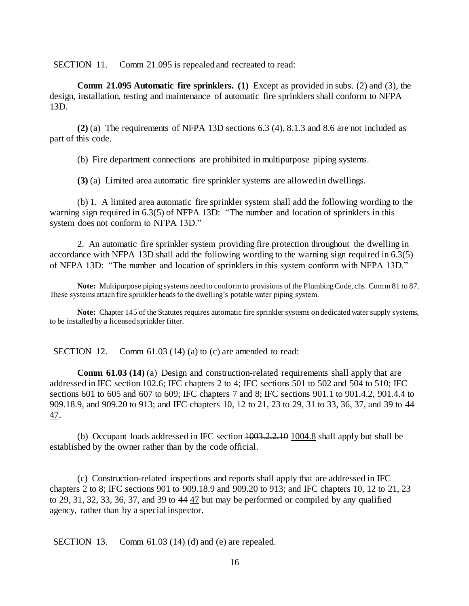SECTION 11. Comm 21.095 is repealed and recreated to read:

**Comm 21.095 Automatic fire sprinklers. (1)** Except as provided in subs. (2) and (3), the design, installation, testing and maintenance of automatic fire sprinklers shall conform to NFPA 13D.

**(2)** (a) The requirements of NFPA 13D sections 6.3 (4), 8.1.3 and 8.6 are not included as part of this code.

(b) Fire department connections are prohibited in multipurpose piping systems.

**(3)** (a) Limited area automatic fire sprinkler systems are allowed in dwellings.

(b) 1. A limited area automatic fire sprinkler system shall add the following wording to the warning sign required in 6.3(5) of NFPA 13D: "The number and location of sprinklers in this system does not conform to NFPA 13D."

2. An automatic fire sprinkler system providing fire protection throughout the dwelling in accordance with NFPA 13D shall add the following wording to the warning sign required in 6.3(5) of NFPA 13D: "The number and location of sprinklers in this system conform with NFPA 13D."

**Note:** Multipurpose piping systems need to conform to provisions of the Plumbing Code, chs. Comm 81 to 87. These systems attach fire sprinkler heads to the dwelling's potable water piping system.

**Note:** Chapter 145 of the Statutes requires automatic fire sprinkler systems on dedicated water supply systems, to be installed by a licensed sprinkler fitter.

SECTION 12. Comm 61.03 (14) (a) to (c) are amended to read:

**Comm 61.03 (14)** (a) Design and construction-related requirements shall apply that are addressed in IFC section 102.6; IFC chapters 2 to 4; IFC sections 501 to 502 and 504 to 510; IFC sections 601 to 605 and 607 to 609; IFC chapters 7 and 8; IFC sections 901.1 to 901.4.2, 901.4.4 to 909.18.9, and 909.20 to 913; and IFC chapters 10, 12 to 21, 23 to 29, 31 to 33, 36, 37, and 39 to 44 47.

(b) Occupant loads addressed in IFC section 1003.2.2.10 1004.8 shall apply but shall be established by the owner rather than by the code official.

(c) Construction-related inspections and reports shall apply that are addressed in IFC chapters 2 to 8; IFC sections 901 to 909.18.9 and 909.20 to 913; and IFC chapters 10, 12 to 21, 23 to 29, 31, 32, 33, 36, 37, and 39 to 44 47 but may be performed or compiled by any qualified agency, rather than by a special inspector.

SECTION 13. Comm 61.03 (14) (d) and (e) are repealed.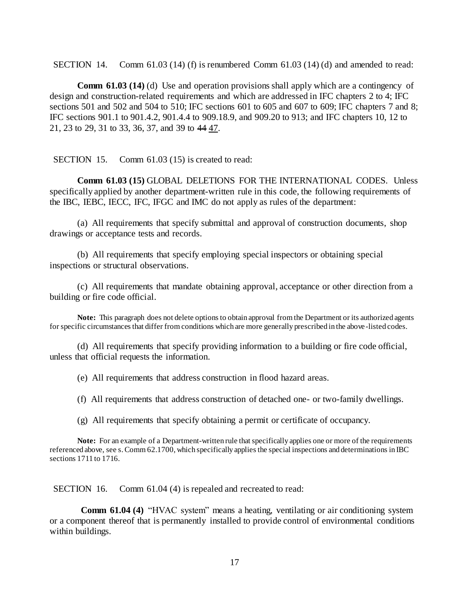SECTION 14. Comm  $61.03$  (14) (f) is renumbered Comm  $61.03$  (14) (d) and amended to read:

**Comm 61.03 (14)** (d) Use and operation provisions shall apply which are a contingency of design and construction-related requirements and which are addressed in IFC chapters 2 to 4; IFC sections 501 and 502 and 504 to 510; IFC sections 601 to 605 and 607 to 609; IFC chapters 7 and 8; IFC sections 901.1 to 901.4.2, 901.4.4 to 909.18.9, and 909.20 to 913; and IFC chapters 10, 12 to 21, 23 to 29, 31 to 33, 36, 37, and 39 to 44 47.

SECTION 15. Comm 61.03 (15) is created to read:

**Comm 61.03 (15)** GLOBAL DELETIONS FOR THE INTERNATIONAL CODES. Unless specifically applied by another department-written rule in this code, the following requirements of the IBC, IEBC, IECC, IFC, IFGC and IMC do not apply as rules of the department:

(a) All requirements that specify submittal and approval of construction documents, shop drawings or acceptance tests and records.

(b) All requirements that specify employing special inspectors or obtaining special inspections or structural observations.

(c) All requirements that mandate obtaining approval, acceptance or other direction from a building or fire code official.

**Note:** This paragraph does not delete options to obtain approval from the Department or its authorized agents for specific circumstances that differ from conditions which are more generally prescribed in the above-listed codes.

(d) All requirements that specify providing information to a building or fire code official, unless that official requests the information.

(e) All requirements that address construction in flood hazard areas.

(f) All requirements that address construction of detached one- or two-family dwellings.

(g) All requirements that specify obtaining a permit or certificate of occupancy.

**Note:** For an example of a Department-written rule that specifically applies one or more of the requirements referenced above, see s.Comm 62.1700, which specifically applies the special inspections and determinations in IBC sections 1711 to 1716.

SECTION 16. Comm 61.04 (4) is repealed and recreated to read:

**Comm 61.04 (4)** "HVAC system" means a heating, ventilating or air conditioning system or a component thereof that is permanently installed to provide control of environmental conditions within buildings.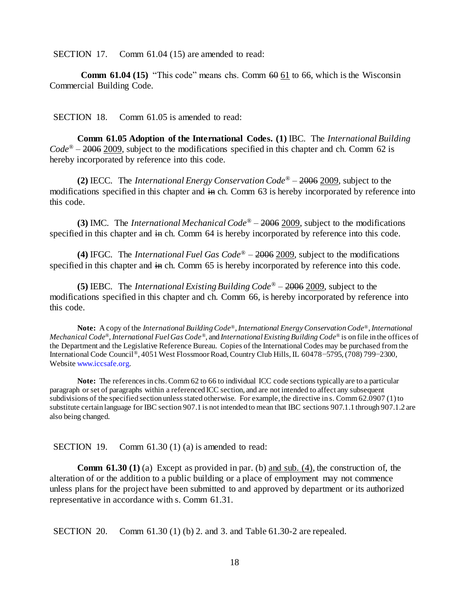SECTION 17. Comm 61.04 (15) are amended to read:

**Comm 61.04 (15)** "This code" means chs. Comm  $60 \underline{61}$  to 66, which is the Wisconsin Commercial Building Code.

SECTION 18. Comm 61.05 is amended to read:

**Comm 61.05 Adoption of the International Codes. (1)** IBC. The *International Building Code*® – 2006 2009, subject to the modifications specified in this chapter and ch. Comm 62 is hereby incorporated by reference into this code.

**(2)** IECC. The *International Energy Conservation Code*® – 2006 2009, subject to the modifications specified in this chapter and in ch. Comm 63 is hereby incorporated by reference into this code.

**(3)** IMC. The *International Mechanical Code*® – 2006 2009, subject to the modifications specified in this chapter and in ch. Comm 64 is hereby incorporated by reference into this code.

**(4)** IFGC. The *International Fuel Gas Code*® – 2006 2009, subject to the modifications specified in this chapter and in ch. Comm 65 is hereby incorporated by reference into this code.

**(5)** IEBC. The *International Existing Building Code*® – 2006 2009, subject to the modifications specified in this chapter and ch. Comm 66, is hereby incorporated by reference into this code.

**Note:** A copy of the *International Building Code®*, *International Energy Conservation Code®*, *International Mechanical Code®*, *International Fuel Gas Code®*, and *International Existing Building Code®* is on file in the offices of the Department and the Legislative Reference Bureau. Copies of the International Codes may be purchased from the International Code Council*®*, 4051 West Flossmoor Road, Country Club Hills, IL 60478−5795, (708) 799−2300, Websit[e www.iccsafe.org.](http://www.iccsafe.org/)

Note: The references in chs. Comm 62 to 66 to individual ICC code sections typically are to a particular paragraph or set of paragraphs within a referenced ICC section, and are not intended to affect any subsequent subdivisions of the specified section unless stated otherwise. For example, the directive in s. Comm 62.0907 (1)to substitute certain language for IBC section 907.1 is not intended to mean that IBC sections 907.1.1 through 907.1.2 are also being changed.

SECTION 19. Comm 61.30 (1) (a) is amended to read:

**Comm 61.30 (1)** (a) Except as provided in par. (b) and sub. (4), the construction of, the alteration of or the addition to a public building or a place of employment may not commence unless plans for the project have been submitted to and approved by department or its authorized representative in accordance with s. Comm 61.31.

SECTION 20. Comm 61.30 (1) (b) 2. and 3. and Table 61.30-2 are repealed.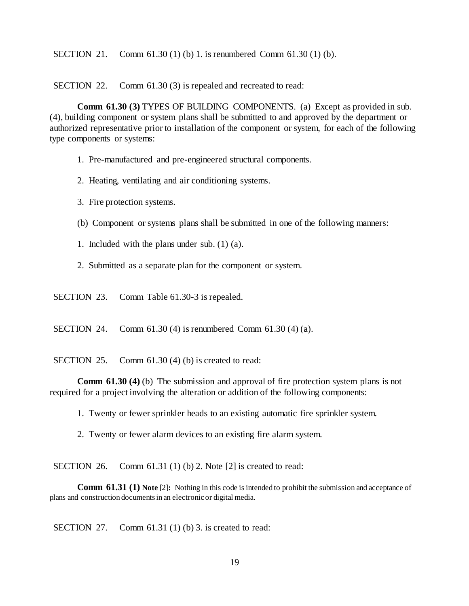SECTION 21. Comm 61.30 (1) (b) 1. is renumbered Comm 61.30 (1) (b).

SECTION 22. Comm 61.30 (3) is repealed and recreated to read:

**Comm 61.30 (3)** TYPES OF BUILDING COMPONENTS. (a) Except as provided in sub. (4), building component or system plans shall be submitted to and approved by the department or authorized representative prior to installation of the component or system, for each of the following type components or systems:

- 1. Pre-manufactured and pre-engineered structural components.
- 2. Heating, ventilating and air conditioning systems.
- 3. Fire protection systems.
- (b) Component or systems plans shall be submitted in one of the following manners:
- 1. Included with the plans under sub. (1) (a).
- 2. Submitted as a separate plan for the component or system.
- SECTION 23. Comm Table 61.30-3 is repealed.

SECTION 24. Comm 61.30 (4) is renumbered Comm 61.30 (4) (a).

SECTION 25. Comm 61.30 (4) (b) is created to read:

**Comm 61.30 (4)** (b) The submission and approval of fire protection system plans is not required for a project involving the alteration or addition of the following components:

- 1. Twenty or fewer sprinkler heads to an existing automatic fire sprinkler system.
- 2. Twenty or fewer alarm devices to an existing fire alarm system.

SECTION 26. Comm 61.31 (1) (b) 2. Note [2] is created to read:

**Comm 61.31 (1) Note** [2]**:** Nothing in this code is intended to prohibit the submission and acceptance of plans and construction documents in an electronic or digital media.

SECTION 27. Comm 61.31 (1) (b) 3. is created to read: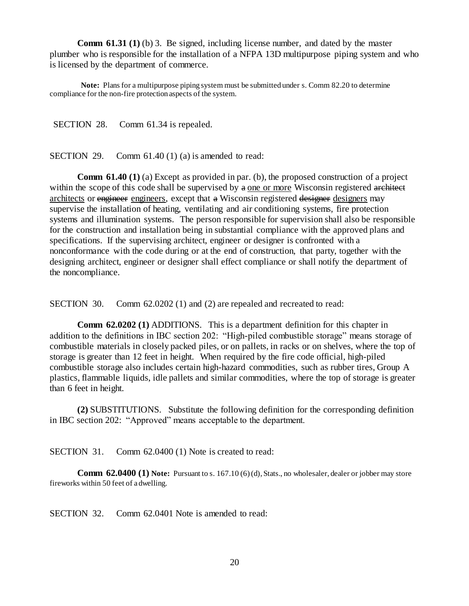**Comm 61.31 (1)** (b) 3. Be signed, including license number, and dated by the master plumber who is responsible for the installation of a NFPA 13D multipurpose piping system and who is licensed by the department of commerce.

**Note:** Plans for a multipurpose piping system must be submitted under s. Comm 82.20 to determine compliance for the non-fire protection aspects of the system.

SECTION 28. Comm 61.34 is repealed.

SECTION 29. Comm  $61.40(1)(a)$  is amended to read:

**Comm 61.40 (1)** (a) Except as provided in par. (b), the proposed construction of a project within the scope of this code shall be supervised by  $a$  one or more Wisconsin registered architect architects or engineer engineers, except that a Wisconsin registered designer designers may supervise the installation of heating, ventilating and air conditioning systems, fire protection systems and illumination systems. The person responsible for supervision shall also be responsible for the construction and installation being in substantial compliance with the approved plans and specifications. If the supervising architect, engineer or designer is confronted with a nonconformance with the code during or at the end of construction, that party, together with the designing architect, engineer or designer shall effect compliance or shall notify the department of the noncompliance.

SECTION 30. Comm 62.0202 (1) and (2) are repealed and recreated to read:

**Comm 62.0202 (1)** ADDITIONS. This is a department definition for this chapter in addition to the definitions in IBC section 202: "High-piled combustible storage" means storage of combustible materials in closely packed piles, or on pallets, in racks or on shelves, where the top of storage is greater than 12 feet in height. When required by the fire code official, high-piled combustible storage also includes certain high-hazard commodities, such as rubber tires, Group A plastics, flammable liquids, idle pallets and similar commodities, where the top of storage is greater than 6 feet in height.

**(2)** SUBSTITUTIONS. Substitute the following definition for the corresponding definition in IBC section 202: "Approved" means acceptable to the department.

SECTION 31. Comm 62.0400 (1) Note is created to read:

**Comm 62.0400 (1) Note:** Pursuant to s. 167.10 (6) (d), Stats., no wholesaler, dealer or jobber may store fireworks within 50 feet of a dwelling.

SECTION 32. Comm 62.0401 Note is amended to read: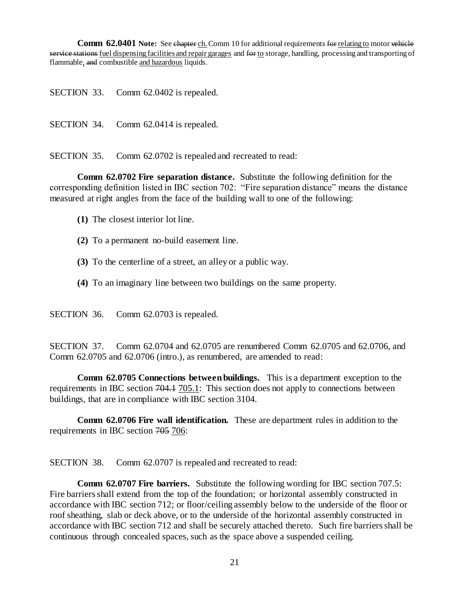**Comm 62.0401 Note:** See chapter ch. Comm 10 for additional requirements for relating to motor vehicle service stations fuel dispensing facilities and repair garages and for to storage, handling, processing and transporting of flammable, and combustible and hazardous liquids.

SECTION 33. Comm 62.0402 is repealed.

SECTION 34. Comm 62.0414 is repealed.

SECTION 35. Comm 62.0702 is repealed and recreated to read:

**Comm 62.0702 Fire separation distance.** Substitute the following definition for the corresponding definition listed in IBC section 702: "Fire separation distance" means the distance measured at right angles from the face of the building wall to one of the following:

- **(1)** The closest interior lot line.
- **(2)** To a permanent no-build easement line.
- **(3)** To the centerline of a street, an alley or a public way.
- **(4)** To an imaginary line between two buildings on the same property.

SECTION 36. Comm 62.0703 is repealed.

SECTION 37. Comm 62.0704 and 62.0705 are renumbered Comm 62.0705 and 62.0706, and Comm 62.0705 and 62.0706 (intro.), as renumbered, are amended to read:

**Comm 62.0705 Connections between buildings.** This is a department exception to the requirements in IBC section 704.1 705.1: This section does not apply to connections between buildings, that are in compliance with IBC section 3104.

**Comm 62.0706 Fire wall identification.** These are department rules in addition to the requirements in IBC section 705 706:

SECTION 38. Comm 62.0707 is repealed and recreated to read:

**Comm 62.0707 Fire barriers.** Substitute the following wording for IBC section 707.5: Fire barriers shall extend from the top of the foundation; or horizontal assembly constructed in accordance with IBC section 712; or floor/ceiling assembly below to the underside of the floor or roof sheathing, slab or deck above, or to the underside of the horizontal assembly constructed in accordance with IBC section 712 and shall be securely attached thereto. Such fire barriers shall be continuous through concealed spaces, such as the space above a suspended ceiling.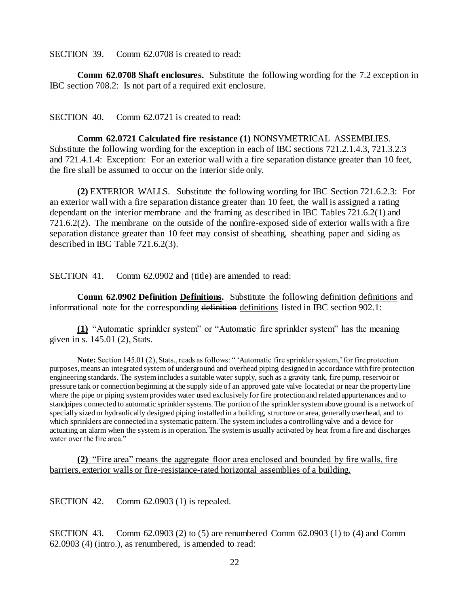SECTION 39. Comm 62.0708 is created to read:

**Comm 62.0708 Shaft enclosures.** Substitute the following wording for the 7.2 exception in IBC section 708.2: Is not part of a required exit enclosure.

SECTION 40. Comm 62.0721 is created to read:

**Comm 62.0721 Calculated fire resistance (1)** NONSYMETRICAL ASSEMBLIES. Substitute the following wording for the exception in each of IBC sections 721.2.1.4.3, 721.3.2.3 and 721.4.1.4: Exception: For an exterior wall with a fire separation distance greater than 10 feet, the fire shall be assumed to occur on the interior side only.

**(2)** EXTERIOR WALLS. Substitute the following wording for IBC Section 721.6.2.3: For an exterior wall with a fire separation distance greater than 10 feet, the wall is assigned a rating dependant on the interior membrane and the framing as described in IBC Tables 721.6.2(1) and 721.6.2(2). The membrane on the outside of the nonfire-exposed side of exterior walls with a fire separation distance greater than 10 feet may consist of sheathing, sheathing paper and siding as described in IBC Table 721.6.2(3).

SECTION 41. Comm 62.0902 and (title) are amended to read:

**Comm 62.0902 Definition Definitions.** Substitute the following definition definitions and informational note for the corresponding definition definitions listed in IBC section 902.1:

**(1)** "Automatic sprinkler system" or "Automatic fire sprinkler system" has the meaning given in s. 145.01 (2), Stats.

**Note:** Section 145.01 (2), Stats., reads as follows: " 'Automatic fire sprinkler system,' for fire protection purposes, means an integrated system of underground and overhead piping designed in accordance with fire protection engineering standards. The system includes a suitable water supply, such as a gravity tank, fire pump, reservoir or pressure tank or connection beginning at the supply side of an approved gate valve located at or near the property line where the pipe or piping system provides water used exclusively for fire protection and related appurtenances and to standpipes connected to automatic sprinkler systems. The portion of the sprinkler system above ground is a network of specially sized or hydraulically designed piping installed in a building, structure or area, generally overhead, and to which sprinklers are connected in a systematic pattern. The system includes a controlling valve and a device for actuating an alarm when the system is in operation. The system is usually activated by heat from a fire and discharges water over the fire area."

**(2)** "Fire area" means the aggregate floor area enclosed and bounded by fire walls, fire barriers, exterior walls or fire-resistance-rated horizontal assemblies of a building.

SECTION 42. Comm 62.0903 (1) is repealed.

SECTION 43. Comm 62.0903 (2) to (5) are renumbered Comm 62.0903 (1) to (4) and Comm 62.0903 (4) (intro.), as renumbered, is amended to read: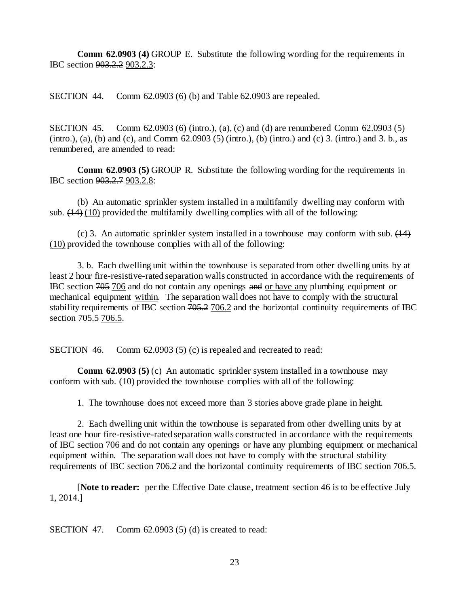**Comm 62.0903 (4)** GROUP E. Substitute the following wording for the requirements in IBC section 903.2.2 903.2.3:

SECTION 44. Comm 62.0903 (6) (b) and Table 62.0903 are repealed.

SECTION 45. Comm 62.0903 (6) (intro.), (a), (c) and (d) are renumbered Comm 62.0903 (5) (intro.), (a), (b) and (c), and Comm  $62.0903$  (5) (intro.), (b) (intro.) and (c) 3. (intro.) and 3. b., as renumbered, are amended to read:

**Comm 62.0903 (5)** GROUP R. Substitute the following wording for the requirements in IBC section 903.2.7 903.2.8:

(b) An automatic sprinkler system installed in a multifamily dwelling may conform with sub.  $(14)$  (10) provided the multifamily dwelling complies with all of the following:

(c) 3. An automatic sprinkler system installed in a townhouse may conform with sub.  $(14)$ (10) provided the townhouse complies with all of the following:

3. b. Each dwelling unit within the townhouse is separated from other dwelling units by at least 2 hour fire-resistive-rated separation walls constructed in accordance with the requirements of IBC section 705 706 and do not contain any openings and or have any plumbing equipment or mechanical equipment within. The separation wall does not have to comply with the structural stability requirements of IBC section 705.2 706.2 and the horizontal continuity requirements of IBC section 705.5-706.5.

SECTION 46. Comm 62.0903 (5) (c) is repealed and recreated to read:

**Comm 62.0903 (5)** (c) An automatic sprinkler system installed in a townhouse may conform with sub. (10) provided the townhouse complies with all of the following:

1. The townhouse does not exceed more than 3 stories above grade plane in height.

2. Each dwelling unit within the townhouse is separated from other dwelling units by at least one hour fire-resistive-rated separation walls constructed in accordance with the requirements of IBC section 706 and do not contain any openings or have any plumbing equipment or mechanical equipment within. The separation wall does not have to comply with the structural stability requirements of IBC section 706.2 and the horizontal continuity requirements of IBC section 706.5.

[**Note to reader:** per the Effective Date clause, treatment section 46 is to be effective July 1, 2014.]

SECTION 47. Comm 62.0903 (5) (d) is created to read: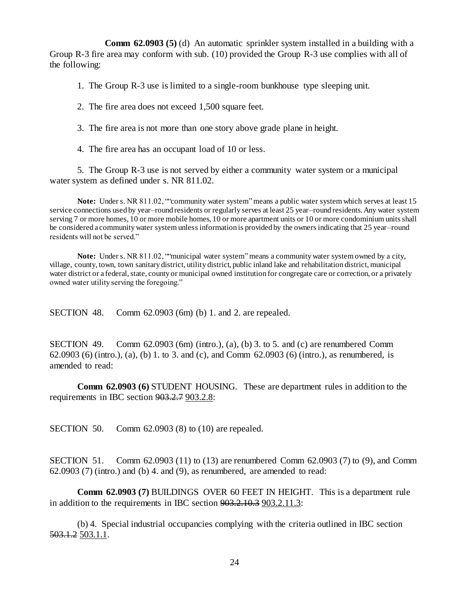**Comm 62.0903 (5)** (d) An automatic sprinkler system installed in a building with a Group R-3 fire area may conform with sub. (10) provided the Group R-3 use complies with all of the following:

1. The Group R-3 use is limited to a single-room bunkhouse type sleeping unit.

2. The fire area does not exceed 1,500 square feet.

3. The fire area is not more than one story above grade plane in height.

4. The fire area has an occupant load of 10 or less.

5. The Group R-3 use is not served by either a community water system or a municipal water system as defined under s. NR 811.02.

**Note:** Under s. NR 811.02, ""community water system"means a public water system which serves at least 15 service connections used by year–round residents or regularly serves at least 25 year–round residents. Any water system serving 7 or more homes, 10 or more mobile homes, 10 or more apartment units or 10 or more condominium units shall be considered a community water system unless information is provided by the owners indicating that 25 year–round residents will not be served."

**Note:** Under s. NR 811.02, ""municipal water system"means a community water system owned by a city, village, county, town, town sanitary district, utility district, public inland lake and rehabilitation district, municipal water district or a federal, state, county or municipal owned institution for congregate care or correction, or a privately owned water utility serving the foregoing."

SECTION 48. Comm 62.0903 (6m) (b) 1. and 2. are repealed.

SECTION 49. Comm 62.0903 (6m) (intro.), (a), (b) 3. to 5. and (c) are renumbered Comm 62.0903 (6) (intro.), (a), (b) 1. to 3. and (c), and Comm 62.0903 (6) (intro.), as renumbered, is amended to read:

**Comm 62.0903 (6)** STUDENT HOUSING. These are department rules in addition to the requirements in IBC section  $903.2.7$  903.2.8:

SECTION 50. Comm 62.0903 (8) to (10) are repealed.

SECTION 51. Comm 62.0903 (11) to (13) are renumbered Comm 62.0903 (7) to (9), and Comm  $62.0903$  (7) (intro.) and (b) 4. and (9), as renumbered, are amended to read:

**Comm 62.0903 (7)** BUILDINGS OVER 60 FEET IN HEIGHT. This is a department rule in addition to the requirements in IBC section 903.2.10.3 903.2.11.3:

(b) 4. Special industrial occupancies complying with the criteria outlined in IBC section 503.1.2 503.1.1.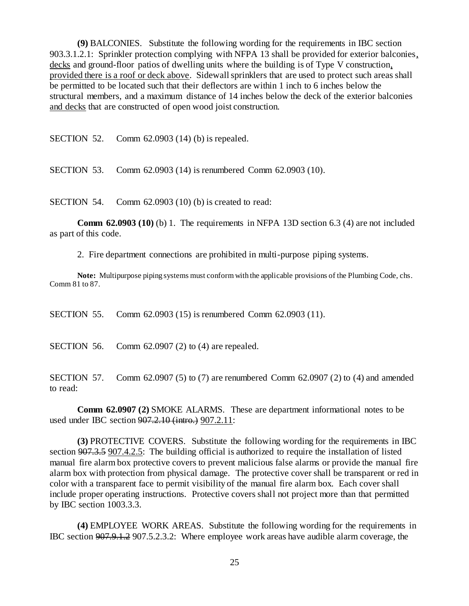**(9)** BALCONIES. Substitute the following wording for the requirements in IBC section 903.3.1.2.1: Sprinkler protection complying with NFPA 13 shall be provided for exterior balconies, decks and ground-floor patios of dwelling units where the building is of Type V construction, provided there is a roof or deck above. Sidewall sprinklers that are used to protect such areas shall be permitted to be located such that their deflectors are within 1 inch to 6 inches below the structural members, and a maximum distance of 14 inches below the deck of the exterior balconies and decks that are constructed of open wood joist construction.

SECTION 52. Comm 62.0903 (14) (b) is repealed.

SECTION 53. Comm 62.0903 (14) is renumbered Comm 62.0903 (10).

SECTION 54. Comm 62.0903 (10) (b) is created to read:

**Comm 62.0903 (10)** (b) 1. The requirements in NFPA 13D section 6.3 (4) are not included as part of this code.

2. Fire department connections are prohibited in multi-purpose piping systems.

**Note:** Multipurpose piping systems must conform with the applicable provisions of the Plumbing Code, chs. Comm 81 to 87.

SECTION 55. Comm 62.0903 (15) is renumbered Comm 62.0903 (11).

SECTION 56. Comm 62.0907 (2) to (4) are repealed.

SECTION 57. Comm 62.0907 (5) to (7) are renumbered Comm 62.0907 (2) to (4) and amended to read:

**Comm 62.0907 (2)** SMOKE ALARMS. These are department informational notes to be used under IBC section 907.2.10 (intro.) 907.2.11:

**(3)** PROTECTIVE COVERS. Substitute the following wording for the requirements in IBC section 907.3.5 907.4.2.5: The building official is authorized to require the installation of listed manual fire alarm box protective covers to prevent malicious false alarms or provide the manual fire alarm box with protection from physical damage. The protective cover shall be transparent or red in color with a transparent face to permit visibility of the manual fire alarm box. Each cover shall include proper operating instructions. Protective covers shall not project more than that permitted by IBC section 1003.3.3.

**(4)** EMPLOYEE WORK AREAS. Substitute the following wording for the requirements in IBC section 907.9.1.2 907.5.2.3.2: Where employee work areas have audible alarm coverage, the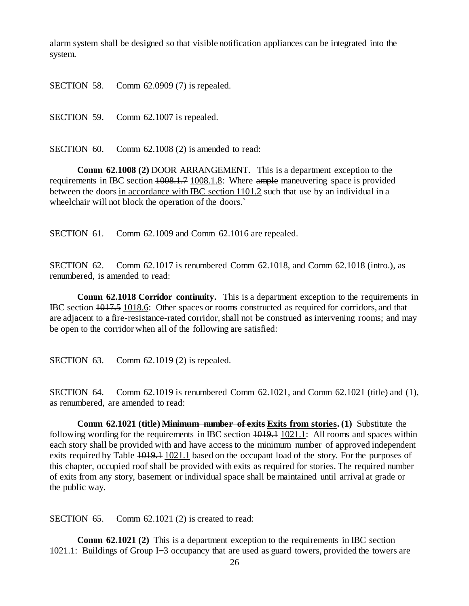alarm system shall be designed so that visible notification appliances can be integrated into the system.

SECTION 58. Comm 62.0909 (7) is repealed.

SECTION 59. Comm 62.1007 is repealed.

SECTION 60. Comm 62.1008 (2) is amended to read:

**Comm 62.1008 (2)** DOOR ARRANGEMENT. This is a department exception to the requirements in IBC section  $1008.1.7 1008.1.8$ : Where ample maneuvering space is provided between the doors in accordance with IBC section 1101.2 such that use by an individual in a wheelchair will not block the operation of the doors.`

SECTION 61. Comm 62.1009 and Comm 62.1016 are repealed.

SECTION 62. Comm 62.1017 is renumbered Comm 62.1018, and Comm 62.1018 (intro.), as renumbered, is amended to read:

**Comm 62.1018 Corridor continuity.** This is a department exception to the requirements in IBC section 1017.5 1018.6: Other spaces or rooms constructed as required for corridors, and that are adjacent to a fire-resistance-rated corridor, shall not be construed as intervening rooms; and may be open to the corridor when all of the following are satisfied:

SECTION 63. Comm 62.1019 (2) is repealed.

SECTION 64. Comm 62.1019 is renumbered Comm 62.1021, and Comm 62.1021 (title) and (1), as renumbered, are amended to read:

**Comm 62.1021 (title) <del>Minimum number of exits</del> Exits from stories. (1) Substitute the** following wording for the requirements in IBC section  $\overline{1019.1}$  1021.1: All rooms and spaces within each story shall be provided with and have access to the minimum number of approved independent exits required by Table 1019.1 1021.1 based on the occupant load of the story. For the purposes of this chapter, occupied roof shall be provided with exits as required for stories. The required number of exits from any story, basement or individual space shall be maintained until arrival at grade or the public way.

SECTION 65. Comm 62.1021 (2) is created to read:

**Comm 62.1021 (2)** This is a department exception to the requirements in IBC section 1021.1: Buildings of Group I−3 occupancy that are used as guard towers, provided the towers are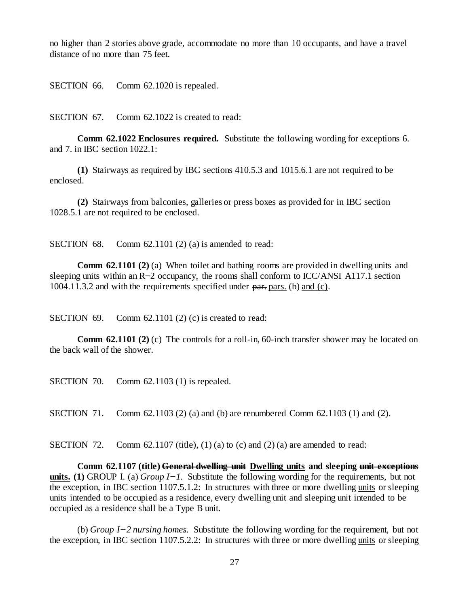no higher than 2 stories above grade, accommodate no more than 10 occupants, and have a travel distance of no more than 75 feet.

SECTION 66. Comm 62.1020 is repealed.

SECTION 67. Comm 62.1022 is created to read:

**Comm 62.1022 Enclosures required.** Substitute the following wording for exceptions 6. and 7. in IBC section 1022.1:

**(1)** Stairways as required by IBC sections 410.5.3 and 1015.6.1 are not required to be enclosed.

**(2)** Stairways from balconies, galleries or press boxes as provided for in IBC section 1028.5.1 are not required to be enclosed.

SECTION 68. Comm 62.1101 (2) (a) is amended to read:

**Comm 62.1101 (2) (a)** When toilet and bathing rooms are provided in dwelling units and sleeping units within an R−2 occupancy, the rooms shall conform to ICC/ANSI A117.1 section 1004.11.3.2 and with the requirements specified under part pars. (b) and (c).

SECTION 69. Comm 62.1101 (2) (c) is created to read:

**Comm 62.1101 (2) (c)** The controls for a roll-in, 60-inch transfer shower may be located on the back wall of the shower.

SECTION 70. Comm 62.1103 (1) is repealed.

SECTION 71. Comm 62.1103 (2) (a) and (b) are renumbered Comm 62.1103 (1) and (2).

SECTION 72. Comm 62.1107 (title),  $(1)$  (a) to (c) and  $(2)$  (a) are amended to read:

**Comm 62.1107 (title) General dwelling unit Dwelling units and sleeping unit exceptions units. (1)** GROUP I. (a) *Group I−1.* Substitute the following wording for the requirements, but not the exception, in IBC section 1107.5.1.2: In structures with three or more dwelling units or sleeping units intended to be occupied as a residence, every dwelling unit and sleeping unit intended to be occupied as a residence shall be a Type B unit.

(b) *Group I−2 nursing homes.* Substitute the following wording for the requirement, but not the exception, in IBC section 1107.5.2.2: In structures with three or more dwelling units or sleeping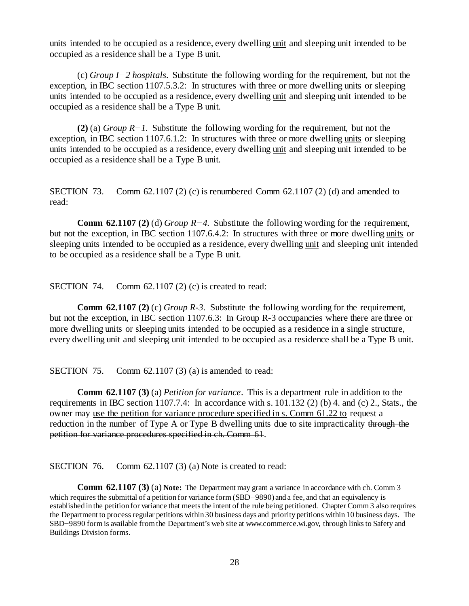units intended to be occupied as a residence, every dwelling unit and sleeping unit intended to be occupied as a residence shall be a Type B unit.

(c) *Group I−2 hospitals.* Substitute the following wording for the requirement, but not the exception, in IBC section 1107.5.3.2: In structures with three or more dwelling units or sleeping units intended to be occupied as a residence, every dwelling unit and sleeping unit intended to be occupied as a residence shall be a Type B unit.

**(2)** (a) *Group R−1.* Substitute the following wording for the requirement, but not the exception, in IBC section 1107.6.1.2: In structures with three or more dwelling units or sleeping units intended to be occupied as a residence, every dwelling unit and sleeping unit intended to be occupied as a residence shall be a Type B unit.

SECTION 73. Comm 62.1107 (2) (c) is renumbered Comm 62.1107 (2) (d) and amended to read:

**Comm 62.1107 (2)** (d) *Group R−4.* Substitute the following wording for the requirement, but not the exception, in IBC section 1107.6.4.2: In structures with three or more dwelling units or sleeping units intended to be occupied as a residence, every dwelling unit and sleeping unit intended to be occupied as a residence shall be a Type B unit.

SECTION 74. Comm 62.1107 (2) (c) is created to read:

**Comm 62.1107 (2)** (c) *Group R-3*. Substitute the following wording for the requirement, but not the exception, in IBC section 1107.6.3: In Group R-3 occupancies where there are three or more dwelling units or sleeping units intended to be occupied as a residence in a single structure, every dwelling unit and sleeping unit intended to be occupied as a residence shall be a Type B unit.

SECTION 75. Comm 62.1107 (3) (a) is amended to read:

**Comm 62.1107 (3)** (a) *Petition for variance*. This is a department rule in addition to the requirements in IBC section 1107.7.4: In accordance with s. 101.132 (2) (b) 4. and (c) 2., Stats., the owner may use the petition for variance procedure specified in s. Comm 61.22 to request a reduction in the number of Type A or Type B dwelling units due to site impracticality through the petition for variance procedures specified in ch. Comm 61.

SECTION 76. Comm 62.1107 (3) (a) Note is created to read:

**Comm 62.1107 (3) (a) Note:** The Department may grant a variance in accordance with ch. Comm 3 which requires the submittal of a petition for variance form (SBD−9890) and a fee, and that an equivalency is established in the petition for variance that meets the intent of the rule being petitioned. Chapter Comm 3 also requires the Department to process regular petitions within 30 business days and priority petitions within 10 business days. The SBD−9890 form is available from the Department's web site at www.commerce.wi.gov, through links to Safety and Buildings Division forms.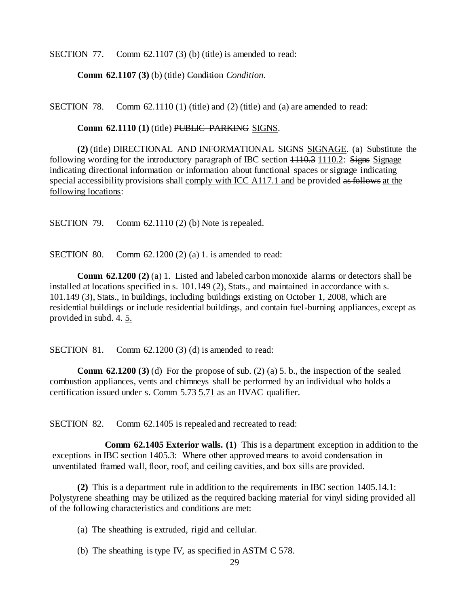SECTION 77. Comm 62.1107 (3) (b) (title) is amended to read:

**Comm 62.1107 (3)** (b) (title) Condition *Condition*.

SECTION 78. Comm  $62.1110(1)$  (title) and  $(2)$  (title) and (a) are amended to read:

**Comm 62.1110 (1) (title) PUBLIC PARKING SIGNS.** 

**(2)** (title) DIRECTIONAL AND INFORMATIONAL SIGNS SIGNAGE. (a) Substitute the following wording for the introductory paragraph of IBC section  $1110.3$  1110.2: Signs Signage indicating directional information or information about functional spaces or signage indicating special accessibility provisions shall comply with ICC A117.1 and be provided as follows at the following locations:

SECTION 79. Comm 62.1110 (2) (b) Note is repealed.

SECTION 80. Comm  $62.1200(2)(a)$  1. is amended to read:

**Comm 62.1200 (2) (a) 1.** Listed and labeled carbon monoxide alarms or detectors shall be installed at locations specified in s. 101.149 (2), Stats., and maintained in accordance with s. 101.149 (3), Stats., in buildings, including buildings existing on October 1, 2008, which are residential buildings or include residential buildings, and contain fuel-burning appliances, except as provided in subd. 4. 5.

SECTION 81. Comm 62.1200 (3) (d) is amended to read:

**Comm 62.1200 (3)** (d) For the propose of sub. (2) (a) 5. b., the inspection of the sealed combustion appliances, vents and chimneys shall be performed by an individual who holds a certification issued under s. Comm 5.73 5.71 as an HVAC qualifier.

SECTION 82. Comm 62.1405 is repealed and recreated to read:

**Comm 62.1405 Exterior walls. (1)** This is a department exception in addition to the exceptions in IBC section 1405.3: Where other approved means to avoid condensation in unventilated framed wall, floor, roof, and ceiling cavities, and box sills are provided.

**(2)** This is a department rule in addition to the requirements in IBC section 1405.14.1: Polystyrene sheathing may be utilized as the required backing material for vinyl siding provided all of the following characteristics and conditions are met:

(a) The sheathing is extruded, rigid and cellular.

(b) The sheathing is type IV, as specified in ASTM C 578.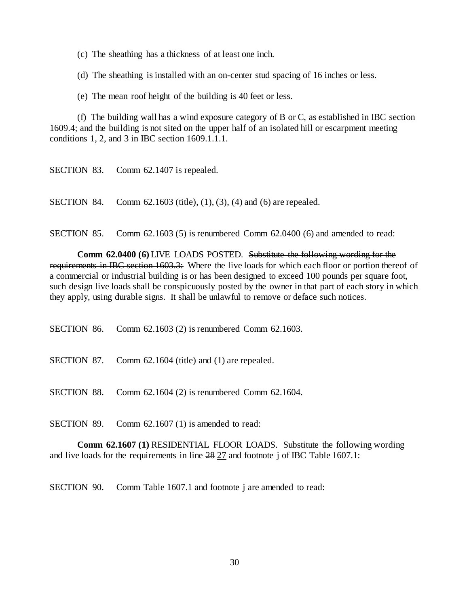(c) The sheathing has a thickness of at least one inch.

(d) The sheathing is installed with an on-center stud spacing of 16 inches or less.

(e) The mean roof height of the building is 40 feet or less.

(f) The building wall has a wind exposure category of B or C, as established in IBC section 1609.4; and the building is not sited on the upper half of an isolated hill or escarpment meeting conditions 1, 2, and 3 in IBC section 1609.1.1.1.

SECTION 84. Comm 62.1603 (title), (1), (3), (4) and (6) are repealed.

SECTION 85. Comm 62.1603 (5) is renumbered Comm 62.0400 (6) and amended to read:

**Comm 62.0400 (6)** LIVE LOADS POSTED. Substitute the following wording for the requirements in IBC section 1603.3: Where the live loads for which each floor or portion thereof of a commercial or industrial building is or has been designed to exceed 100 pounds per square foot, such design live loads shall be conspicuously posted by the owner in that part of each story in which they apply, using durable signs. It shall be unlawful to remove or deface such notices.

SECTION 86. Comm 62.1603 (2) is renumbered Comm 62.1603.

SECTION 87. Comm 62.1604 (title) and (1) are repealed.

SECTION 88. Comm 62.1604 (2) is renumbered Comm 62.1604.

SECTION 89. Comm 62.1607 (1) is amended to read:

**Comm 62.1607 (1)** RESIDENTIAL FLOOR LOADS. Substitute the following wording and live loads for the requirements in line 28 27 and footnote j of IBC Table 1607.1:

SECTION 90. Comm Table 1607.1 and footnote j are amended to read: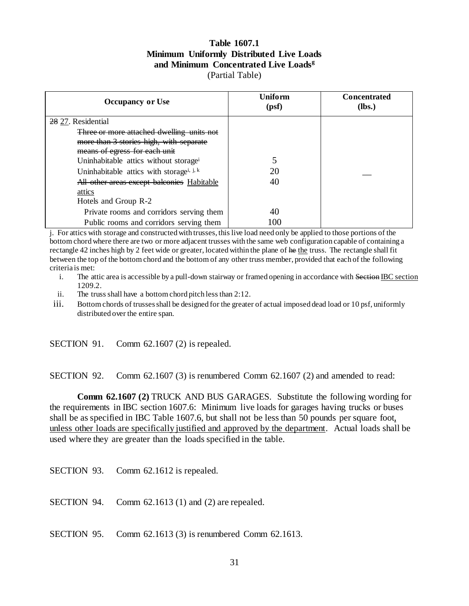## **Table 1607.1 Minimum Uniformly Distributed Live Loads and Minimum Concentrated Live Loads<sup>g</sup>** (Partial Table)

| <b>Occupancy or Use</b>                              | Uniform<br>(psf) | <b>Concentrated</b><br>$(lbs.)$ |
|------------------------------------------------------|------------------|---------------------------------|
| 28 27. Residential                                   |                  |                                 |
| Three or more attached dwelling units not            |                  |                                 |
| more than 3 stories high, with separate              |                  |                                 |
| means of egress for each unit                        |                  |                                 |
| Uninhabitable attics without storage <sup>i</sup>    |                  |                                 |
| Uninhabitable attics with storage <sup>i, j, k</sup> | 20               |                                 |
| All other areas except balconies Habitable           | 40               |                                 |
| attics                                               |                  |                                 |
| Hotels and Group R-2                                 |                  |                                 |
| Private rooms and corridors serving them             | 40               |                                 |
| Public rooms and corridors serving them              | 100              |                                 |

j. For attics with storage and constructed with trusses, this live load need only be applied to those portions of the bottom chord where there are two or more adjacent trusses with the same web configuration capable of containing a rectangle 42 inches high by 2 feet wide or greater, located within the plane of he the truss. The rectangle shall fit between the top of the bottom chord and the bottom of any other truss member, provided that each of the following criteria is met:

- i. The attic area is accessible by a pull-down stairway or framed opening in accordance with Section IBC section 1209.2.
- ii. The truss shall have a bottom chord pitch less than 2:12.
- iii. Bottom chords of trusses shall be designed for the greater of actual imposed dead load or 10 psf, uniformly distributed over the entire span.

SECTION 91. Comm 62.1607 (2) is repealed.

SECTION 92. Comm 62.1607 (3) is renumbered Comm 62.1607 (2) and amended to read:

**Comm 62.1607 (2)** TRUCK AND BUS GARAGES. Substitute the following wording for the requirements in IBC section 1607.6: Minimum live loads for garages having trucks or buses shall be as specified in IBC Table 1607.6, but shall not be less than 50 pounds per square foot, unless other loads are specifically justified and approved by the department. Actual loads shall be used where they are greater than the loads specified in the table.

SECTION 93. Comm 62.1612 is repealed.

SECTION 94. Comm 62.1613 (1) and (2) are repealed.

SECTION 95. Comm 62.1613 (3) is renumbered Comm 62.1613.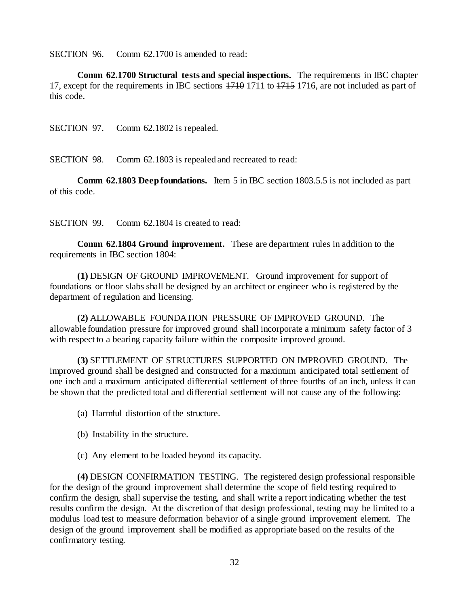SECTION 96. Comm 62.1700 is amended to read:

**Comm 62.1700 Structural tests and special inspections.** The requirements in IBC chapter 17, except for the requirements in IBC sections 1710 1711 to 1715 1716, are not included as part of this code.

SECTION 97. Comm 62.1802 is repealed.

SECTION 98. Comm 62.1803 is repealed and recreated to read:

**Comm 62.1803 Deep foundations.** Item 5 in IBC section 1803.5.5 is not included as part of this code.

SECTION 99. Comm 62.1804 is created to read:

**Comm 62.1804 Ground improvement.** These are department rules in addition to the requirements in IBC section 1804:

**(1)** DESIGN OF GROUND IMPROVEMENT. Ground improvement for support of foundations or floor slabs shall be designed by an architect or engineer who is registered by the department of regulation and licensing.

**(2)** ALLOWABLE FOUNDATION PRESSURE OF IMPROVED GROUND. The allowable foundation pressure for improved ground shall incorporate a minimum safety factor of 3 with respect to a bearing capacity failure within the composite improved ground.

**(3)** SETTLEMENT OF STRUCTURES SUPPORTED ON IMPROVED GROUND. The improved ground shall be designed and constructed for a maximum anticipated total settlement of one inch and a maximum anticipated differential settlement of three fourths of an inch, unless it can be shown that the predicted total and differential settlement will not cause any of the following:

(a) Harmful distortion of the structure.

- (b) Instability in the structure.
- (c) Any element to be loaded beyond its capacity.

**(4)** DESIGN CONFIRMATION TESTING. The registered design professional responsible for the design of the ground improvement shall determine the scope of field testing required to confirm the design, shall supervise the testing, and shall write a report indicating whether the test results confirm the design. At the discretion of that design professional, testing may be limited to a modulus load test to measure deformation behavior of a single ground improvement element. The design of the ground improvement shall be modified as appropriate based on the results of the confirmatory testing.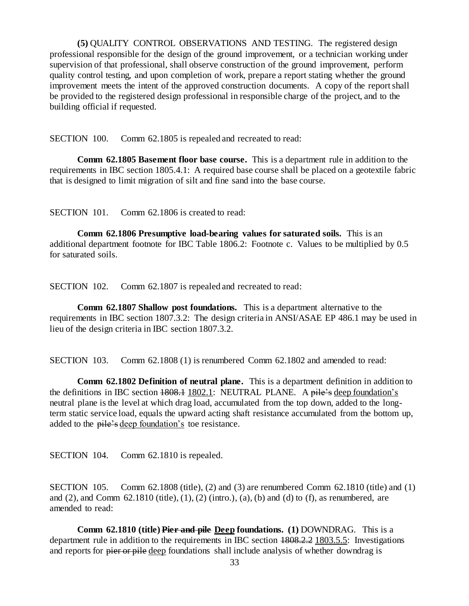**(5)** QUALITY CONTROL OBSERVATIONS AND TESTING. The registered design professional responsible for the design of the ground improvement, or a technician working under supervision of that professional, shall observe construction of the ground improvement, perform quality control testing, and upon completion of work, prepare a report stating whether the ground improvement meets the intent of the approved construction documents. A copy of the report shall be provided to the registered design professional in responsible charge of the project, and to the building official if requested.

SECTION 100. Comm 62.1805 is repealed and recreated to read:

**Comm 62.1805 Basement floor base course.** This is a department rule in addition to the requirements in IBC section 1805.4.1: A required base course shall be placed on a geotextile fabric that is designed to limit migration of silt and fine sand into the base course.

SECTION 101. Comm 62.1806 is created to read:

**Comm 62.1806 Presumptive load-bearing values for saturated soils.** This is an additional department footnote for IBC Table 1806.2: Footnote c. Values to be multiplied by 0.5 for saturated soils.

SECTION 102. Comm 62.1807 is repealed and recreated to read:

**Comm 62.1807 Shallow post foundations.** This is a department alternative to the requirements in IBC section 1807.3.2: The design criteria in ANSI/ASAE EP 486.1 may be used in lieu of the design criteria in IBC section 1807.3.2.

SECTION 103. Comm 62.1808 (1) is renumbered Comm 62.1802 and amended to read:

**Comm 62.1802 Definition of neutral plane.** This is a department definition in addition to the definitions in IBC section 1808.1 1802.1: NEUTRAL PLANE. A pile's deep foundation's neutral plane is the level at which drag load, accumulated from the top down, added to the longterm static service load, equals the upward acting shaft resistance accumulated from the bottom up, added to the pile's deep foundation's toe resistance.

SECTION 104. Comm 62.1810 is repealed.

SECTION 105. Comm 62.1808 (title), (2) and (3) are renumbered Comm 62.1810 (title) and (1) and (2), and Comm  $62.1810$  (title),  $(1)$ ,  $(2)$  (intro.),  $(a)$ ,  $(b)$  and  $(d)$  to  $(f)$ , as renumbered, are amended to read:

**Comm 62.1810 (title) Pier and pile Deep foundations. (1)** DOWNDRAG. This is a department rule in addition to the requirements in IBC section 1808.2.2 1803.5.5: Investigations and reports for pier or pile deep foundations shall include analysis of whether downdrag is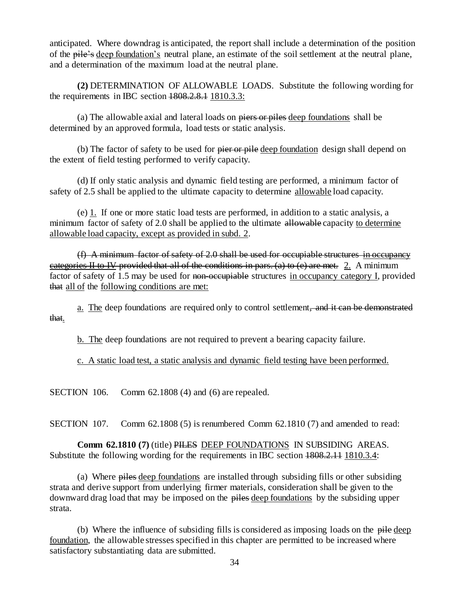anticipated. Where downdrag is anticipated, the report shall include a determination of the position of the pile's deep foundation's neutral plane, an estimate of the soil settlement at the neutral plane, and a determination of the maximum load at the neutral plane.

**(2)** DETERMINATION OF ALLOWABLE LOADS. Substitute the following wording for the requirements in IBC section  $1808, 2.8.1$   $1810, 3.3$ :

(a) The allowable axial and lateral loads on piers or piles deep foundations shall be determined by an approved formula, load tests or static analysis.

(b) The factor of safety to be used for pier or pile deep foundation design shall depend on the extent of field testing performed to verify capacity.

(d) If only static analysis and dynamic field testing are performed, a minimum factor of safety of 2.5 shall be applied to the ultimate capacity to determine allowable load capacity.

(e) 1. If one or more static load tests are performed, in addition to a static analysis, a minimum factor of safety of 2.0 shall be applied to the ultimate allowable capacity to determine allowable load capacity, except as provided in subd. 2.

(f) A minimum factor of safety of 2.0 shall be used for occupiable structures in occupancy categories II to IV provided that all of the conditions in pars. (a) to  $(e)$  are met. 2. A minimum factor of safety of 1.5 may be used for non-occupiable structures in occupancy category I, provided that all of the following conditions are met:

a. The deep foundations are required only to control settlement, and it can be demonstrated that.

b. The deep foundations are not required to prevent a bearing capacity failure.

c. A static load test, a static analysis and dynamic field testing have been performed.

SECTION 106. Comm 62.1808 (4) and (6) are repealed.

SECTION 107. Comm 62.1808 (5) is renumbered Comm 62.1810 (7) and amended to read:

**Comm 62.1810 (7)** (title) PILES DEEP FOUNDATIONS IN SUBSIDING AREAS. Substitute the following wording for the requirements in IBC section  $1808.2.11$  1810.3.4:

(a) Where piles deep foundations are installed through subsiding fills or other subsiding strata and derive support from underlying firmer materials, consideration shall be given to the downward drag load that may be imposed on the piles deep foundations by the subsiding upper strata.

(b) Where the influence of subsiding fills is considered as imposing loads on the pile deep foundation, the allowable stresses specified in this chapter are permitted to be increased where satisfactory substantiating data are submitted.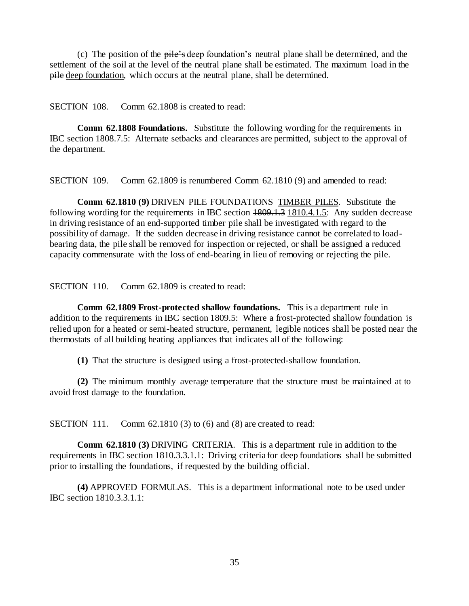(c) The position of the pile's deep foundation's neutral plane shall be determined, and the settlement of the soil at the level of the neutral plane shall be estimated. The maximum load in the pile deep foundation, which occurs at the neutral plane, shall be determined.

SECTION 108. Comm 62.1808 is created to read:

**Comm 62.1808 Foundations.** Substitute the following wording for the requirements in IBC section 1808.7.5: Alternate setbacks and clearances are permitted, subject to the approval of the department.

SECTION 109. Comm 62.1809 is renumbered Comm 62.1810 (9) and amended to read:

**Comm 62.1810 (9)** DRIVEN PILE FOUNDATIONS TIMBER PILES*.* Substitute the following wording for the requirements in IBC section  $1809.1.3$  1810.4.1.5: Any sudden decrease in driving resistance of an end-supported timber pile shall be investigated with regard to the possibility of damage. If the sudden decrease in driving resistance cannot be correlated to loadbearing data, the pile shall be removed for inspection or rejected, or shall be assigned a reduced capacity commensurate with the loss of end-bearing in lieu of removing or rejecting the pile.

SECTION 110. Comm 62.1809 is created to read:

**Comm 62.1809 Frost-protected shallow foundations.** This is a department rule in addition to the requirements in IBC section 1809.5: Where a frost-protected shallow foundation is relied upon for a heated or semi-heated structure, permanent, legible notices shall be posted near the thermostats of all building heating appliances that indicates all of the following:

**(1)** That the structure is designed using a frost-protected-shallow foundation.

**(2)** The minimum monthly average temperature that the structure must be maintained at to avoid frost damage to the foundation.

SECTION 111. Comm 62.1810 (3) to (6) and (8) are created to read:

**Comm 62.1810 (3)** DRIVING CRITERIA. This is a department rule in addition to the requirements in IBC section 1810.3.3.1.1: Driving criteria for deep foundations shall be submitted prior to installing the foundations, if requested by the building official.

**(4)** APPROVED FORMULAS. This is a department informational note to be used under IBC section 1810.3.3.1.1: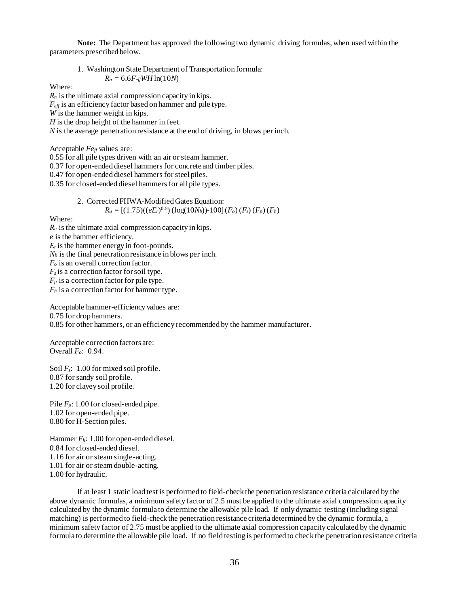**Note:** The Department has approved the following two dynamic driving formulas, when used within the parameters prescribed below.

1. Washington State Department of Transportation formula:  $R_n = 6.6 F_{\text{eff}} W H \ln(10N)$ 

Where:

*R<sup>n</sup>* is the ultimate axial compression capacity in kips. *Feff* is an efficiency factor based on hammer and pile type. *W* is the hammer weight in kips. *H* is the drop height of the hammer in feet. *N* is the average penetration resistance at the end of driving, in blows per inch.

Acceptable *Fe<sub>ff</sub>* values are:

0.55 for all pile types driven with an air or steam hammer.

0.37 for open-ended diesel hammers for concrete and timber piles.

0.47 for open-ended diesel hammers for steel piles.

0.35 for closed-ended diesel hammers for all pile types.

2. Corrected FHWA-Modified Gates Equation:  
\n
$$
R_u = [(1.75)((eE_r)^{0.5}) (\log(10N_b)) - 100] (F_o) (F_s) (F_p) (F_h)
$$

Where:

 $R_u$  is the ultimate axial compression capacity in kips.

*e* is the hammer efficiency.

 $E_r$  is the hammer energy in foot-pounds.

 $N_b$  is the final penetration resistance in blows per inch.

*F<sup>o</sup>* is an overall correction factor.

 $F_s$  is a correction factor for soil type.

 $F_p$  is a correction factor for pile type.

*F<sup>h</sup>* is a correction factor for hammer type.

Acceptable hammer-efficiency values are: 0.75 for drop hammers. 0.85 for other hammers, or an efficiency recommended by the hammer manufacturer.

Acceptable correction factors are: Overall *Fo*: 0.94.

Soil *Fs*: 1.00 for mixed soil profile. 0.87 for sandy soil profile. 1.20 for clayey soil profile.

Pile  $F_p$ : 1.00 for closed-ended pipe. 1.02 for open-ended pipe. 0.80 for H-Section piles.

Hammer *Fh*: 1.00 for open-ended diesel. 0.84 for closed-ended diesel. 1.16 for air or steam single-acting. 1.01 for air or steam double-acting. 1.00 for hydraulic.

If at least 1 static load test is performed to field-check the penetration resistance criteria calculated by the above dynamic formulas, a minimum safety factor of 2.5 must be applied to the ultimate axial compression capacity calculated by the dynamic formula to determine the allowable pile load. If only dynamic testing (including signal matching) is performed to field-check the penetration resistance criteria determined by the dynamic formula, a minimum safety factor of 2.75 must be applied to the ultimate axial compression capacity calculated by the dynamic formula to determine the allowable pile load. If no field testing is performed to check the penetration resistance criteria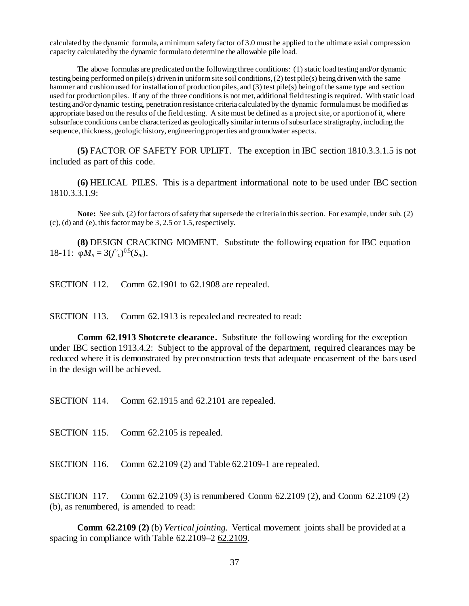calculated by the dynamic formula, a minimum safety factor of 3.0 must be applied to the ultimate axial compression capacity calculated by the dynamic formula to determine the allowable pile load.

The above formulas are predicated on the following three conditions: (1) static load testing and/or dynamic testing being performed on pile(s) driven in uniform site soil conditions, (2) test pile(s) being driven with the same hammer and cushion used for installation of production piles, and (3) test pile(s) being of the same type and section used for production piles. If any of the three conditions is not met, additional field testing is required. With static load testing and/or dynamic testing, penetration resistance criteria calculated by the dynamic formula must be modified as appropriate based on the results of the field testing. A site must be defined as a project site, or a portion of it, where subsurface conditions can be characterized as geologically similar in terms of subsurface stratigraphy, including the sequence, thickness, geologic history, engineering properties and groundwater aspects.

**(5)** FACTOR OF SAFETY FOR UPLIFT. The exception in IBC section 1810.3.3.1.5 is not included as part of this code.

**(6)** HELICAL PILES. This is a department informational note to be used under IBC section 1810.3.3.1.9:

**Note:** See sub. (2) for factors of safety that supersede the criteria in this section. For example, under sub. (2) (c), (d) and (e), this factor may be 3, 2.5 or 1.5, respectively.

**(8)** DESIGN CRACKING MOMENT. Substitute the following equation for IBC equation 18-11:  $\varphi M_n = 3(f'_c)^{0.5}(S_m)$ .

SECTION 112. Comm 62.1901 to 62.1908 are repealed.

SECTION 113. Comm 62.1913 is repealed and recreated to read:

**Comm 62.1913 Shotcrete clearance.** Substitute the following wording for the exception under IBC section 1913.4.2: Subject to the approval of the department, required clearances may be reduced where it is demonstrated by preconstruction tests that adequate encasement of the bars used in the design will be achieved.

SECTION 114. Comm 62.1915 and 62.2101 are repealed.

SECTION 115. Comm 62.2105 is repealed.

SECTION 116. Comm 62.2109 (2) and Table 62.2109-1 are repealed.

SECTION 117. Comm 62.2109 (3) is renumbered Comm 62.2109 (2), and Comm 62.2109 (2) (b), as renumbered, is amended to read:

**Comm 62.2109 (2)** (b) *Vertical jointing.* Vertical movement joints shall be provided at a spacing in compliance with Table 62.2109 – 2 62.2109.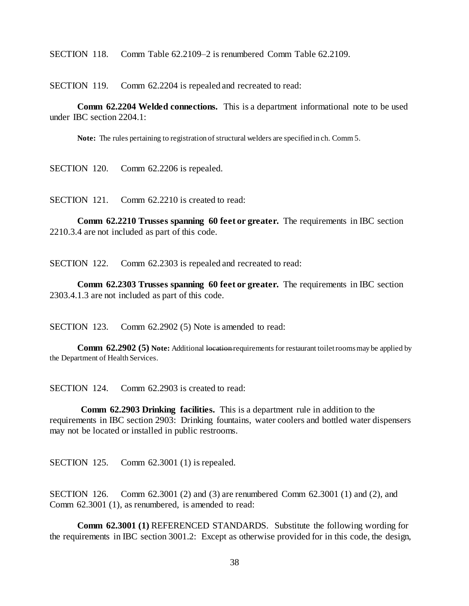SECTION 118. Comm Table 62.2109–2 is renumbered Comm Table 62.2109.

SECTION 119. Comm 62.2204 is repealed and recreated to read:

**Comm 62.2204 Welded connections.** This is a department informational note to be used under IBC section 2204.1:

**Note:** The rules pertaining to registration of structural welders are specified in ch. Comm 5.

SECTION 120. Comm 62.2206 is repealed.

SECTION 121. Comm 62.2210 is created to read:

**Comm 62.2210 Trusses spanning 60 feet or greater.** The requirements in IBC section 2210.3.4 are not included as part of this code.

SECTION 122. Comm 62.2303 is repealed and recreated to read:

**Comm 62.2303 Trusses spanning 60 feet or greater.** The requirements in IBC section 2303.4.1.3 are not included as part of this code.

SECTION 123. Comm 62.2902 (5) Note is amended to read:

**Comm 62.2902 (5) Note:** Additional location requirements for restaurant toilet rooms may be applied by the Department of Health Services.

SECTION 124. Comm 62.2903 is created to read:

**Comm 62.2903 Drinking facilities.** This is a department rule in addition to the requirements in IBC section 2903: Drinking fountains, water coolers and bottled water dispensers may not be located or installed in public restrooms.

SECTION 125. Comm 62.3001 (1) is repealed.

SECTION 126. Comm 62.3001 (2) and (3) are renumbered Comm 62.3001 (1) and (2), and Comm 62.3001 (1), as renumbered, is amended to read:

**Comm 62.3001 (1)** REFERENCED STANDARDS. Substitute the following wording for the requirements in IBC section 3001.2: Except as otherwise provided for in this code, the design,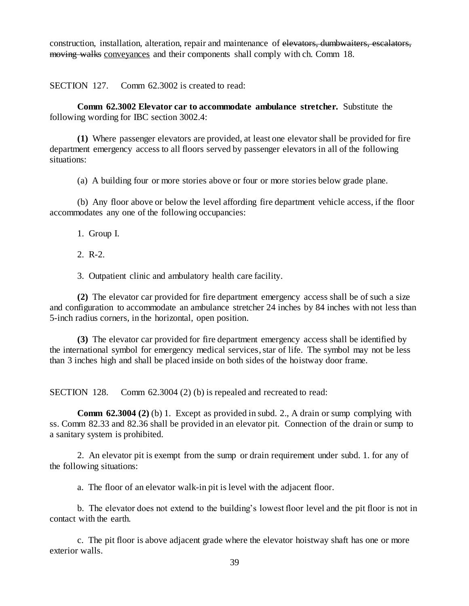construction, installation, alteration, repair and maintenance of elevators, dumbwaiters, escalators, moving walks conveyances and their components shall comply with ch. Comm 18.

SECTION 127. Comm 62.3002 is created to read:

**Comm 62.3002 Elevator car to accommodate ambulance stretcher.** Substitute the following wording for IBC section 3002.4:

**(1)** Where passenger elevators are provided, at least one elevator shall be provided for fire department emergency access to all floors served by passenger elevators in all of the following situations:

(a) A building four or more stories above or four or more stories below grade plane.

(b) Any floor above or below the level affording fire department vehicle access, if the floor accommodates any one of the following occupancies:

1. Group I.

2. R-2.

3. Outpatient clinic and ambulatory health care facility.

**(2)** The elevator car provided for fire department emergency access shall be of such a size and configuration to accommodate an ambulance stretcher 24 inches by 84 inches with not less than 5-inch radius corners, in the horizontal, open position.

**(3)** The elevator car provided for fire department emergency access shall be identified by the international symbol for emergency medical services, star of life. The symbol may not be less than 3 inches high and shall be placed inside on both sides of the hoistway door frame.

SECTION 128. Comm 62.3004 (2) (b) is repealed and recreated to read:

**Comm 62.3004 (2)** (b) 1. Except as provided in subd. 2., A drain or sump complying with ss. Comm 82.33 and 82.36 shall be provided in an elevator pit. Connection of the drain or sump to a sanitary system is prohibited.

2. An elevator pit is exempt from the sump or drain requirement under subd. 1. for any of the following situations:

a. The floor of an elevator walk-in pit is level with the adjacent floor.

b. The elevator does not extend to the building's lowest floor level and the pit floor is not in contact with the earth.

c. The pit floor is above adjacent grade where the elevator hoistway shaft has one or more exterior walls.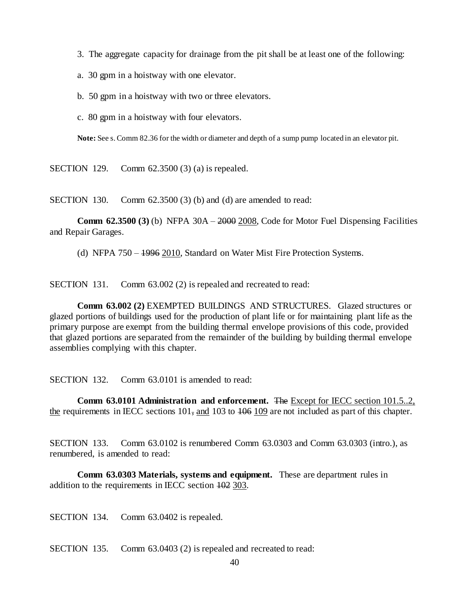- 3. The aggregate capacity for drainage from the pit shall be at least one of the following:
- a. 30 gpm in a hoistway with one elevator.
- b. 50 gpm in a hoistway with two or three elevators.
- c. 80 gpm in a hoistway with four elevators.

**Note:** See s. Comm 82.36 for the width or diameter and depth of a sump pump located in an elevator pit.

SECTION 129. Comm 62.3500 (3) (a) is repealed.

SECTION 130. Comm 62.3500 (3) (b) and (d) are amended to read:

**Comm 62.3500 (3)** (b) NFPA 30A – 2000 2008, Code for Motor Fuel Dispensing Facilities and Repair Garages.

(d) NFPA 750 – 1996 2010, Standard on Water Mist Fire Protection Systems.

SECTION 131. Comm 63.002 (2) is repealed and recreated to read:

**Comm 63.002 (2)** EXEMPTED BUILDINGS AND STRUCTURES. Glazed structures or glazed portions of buildings used for the production of plant life or for maintaining plant life as the primary purpose are exempt from the building thermal envelope provisions of this code, provided that glazed portions are separated from the remainder of the building by building thermal envelope assemblies complying with this chapter.

SECTION 132. Comm 63.0101 is amended to read:

**Comm 63.0101 Administration and enforcement.** The Except for IECC section 101.5..2, the requirements in IECC sections  $101$ , and  $103$  to  $106$  109 are not included as part of this chapter.

SECTION 133. Comm 63.0102 is renumbered Comm 63.0303 and Comm 63.0303 (intro.), as renumbered, is amended to read:

**Comm 63.0303 Materials, systems and equipment.** These are department rules in addition to the requirements in IECC section 102 303.

SECTION 134. Comm 63.0402 is repealed.

SECTION 135. Comm 63.0403 (2) is repealed and recreated to read: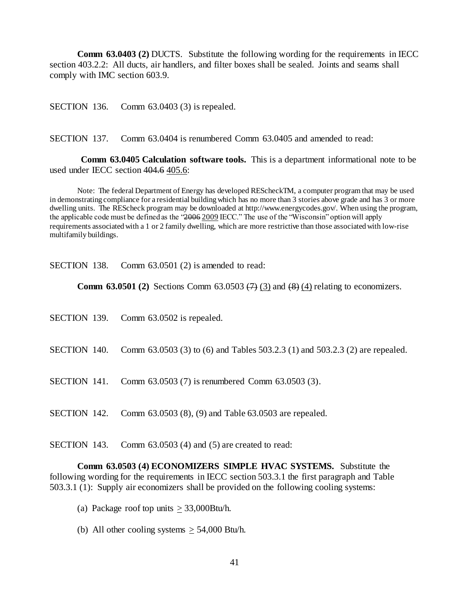**Comm 63.0403 (2) DUCTS.** Substitute the following wording for the requirements in IECC section 403.2.2: All ducts, air handlers, and filter boxes shall be sealed. Joints and seams shall comply with IMC section 603.9.

SECTION 136. Comm 63.0403 (3) is repealed.

SECTION 137. Comm 63.0404 is renumbered Comm 63.0405 and amended to read:

**Comm 63.0405 Calculation software tools.** This is a department informational note to be used under IECC section 404.6 405.6:

Note: The federal Department of Energy has developed REScheckTM, a computer program that may be used in demonstrating compliance for a residential building which has no more than 3 stories above grade and has 3 or more dwelling units. The REScheck program may be downloaded at http://www.energycodes.gov/. When using the program, the applicable code must be defined as the "2006 2009 IECC." The use of the "Wisconsin" option will apply requirements associated with a 1 or 2 family dwelling, which are more restrictive than those associated with low-rise multifamily buildings.

SECTION 138. Comm 63.0501 (2) is amended to read:

**Comm 63.0501 (2)** Sections Comm 63.0503  $\leftrightarrow$  (3) and  $\leftrightarrow$  (4) relating to economizers.

| SECTION 139. Comm 63.0502 is repealed.                                                    |
|-------------------------------------------------------------------------------------------|
| SECTION 140. Comm 63.0503 (3) to (6) and Tables 503.2.3 (1) and 503.2.3 (2) are repealed. |
| SECTION 141. Comm 63.0503 (7) is renumbered Comm 63.0503 (3).                             |
| SECTION 142. Comm 63.0503 (8), (9) and Table 63.0503 are repealed.                        |

SECTION 143. Comm 63.0503 (4) and (5) are created to read:

**Comm 63.0503 (4) ECONOMIZERS SIMPLE HVAC SYSTEMS.** Substitute the following wording for the requirements in IECC section 503.3.1 the first paragraph and Table 503.3.1 (1): Supply air economizers shall be provided on the following cooling systems:

- (a) Package roof top units  $\geq$  33,000Btu/h.
- (b) All other cooling systems  $\geq$  54,000 Btu/h.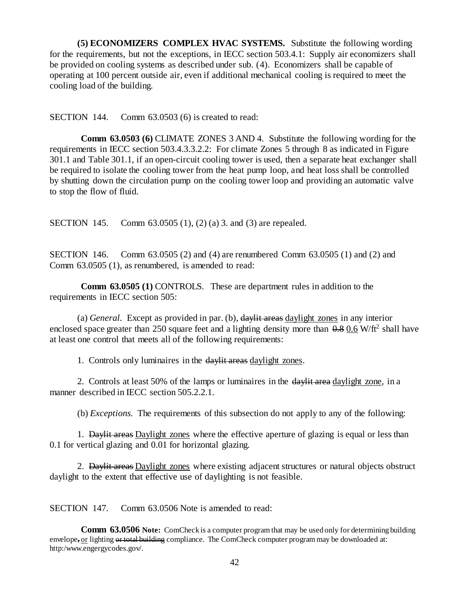**(5) ECONOMIZERS COMPLEX HVAC SYSTEMS.** Substitute the following wording for the requirements, but not the exceptions, in IECC section 503.4.1: Supply air economizers shall be provided on cooling systems as described under sub. (4). Economizers shall be capable of operating at 100 percent outside air, even if additional mechanical cooling is required to meet the cooling load of the building.

SECTION 144. Comm 63.0503 (6) is created to read:

**Comm 63.0503 (6)** CLIMATE ZONES 3 AND 4. Substitute the following wording for the requirements in IECC section 503.4.3.3.2.2: For climate Zones 5 through 8 as indicated in Figure 301.1 and Table 301.1, if an open-circuit cooling tower is used, then a separate heat exchanger shall be required to isolate the cooling tower from the heat pump loop, and heat loss shall be controlled by shutting down the circulation pump on the cooling tower loop and providing an automatic valve to stop the flow of fluid.

SECTION 145. Comm 63.0505 (1), (2) (a) 3. and (3) are repealed.

SECTION 146. Comm 63.0505 (2) and (4) are renumbered Comm 63.0505 (1) and (2) and Comm 63.0505 (1), as renumbered, is amended to read:

**Comm 63.0505 (1)** CONTROLS. These are department rules in addition to the requirements in IECC section 505:

(a) *General.* Except as provided in par. (b), daylit areas daylight zones in any interior enclosed space greater than 250 square feet and a lighting density more than  $0.8 \times 0.6$  W/ft<sup>2</sup> shall have at least one control that meets all of the following requirements:

1. Controls only luminaires in the daylit areas daylight zones.

2. Controls at least 50% of the lamps or luminaires in the davit area daylight zone, in a manner described in IECC section 505.2.2.1.

(b) *Exceptions.* The requirements of this subsection do not apply to any of the following:

1. Daylit areas Daylight zones where the effective aperture of glazing is equal or less than 0.1 for vertical glazing and 0.01 for horizontal glazing.

2. Daylit areas Daylight zones where existing adjacent structures or natural objects obstruct daylight to the extent that effective use of daylighting is not feasible.

SECTION 147. Comm 63.0506 Note is amended to read:

**Comm 63.0506 Note:** ComCheck is a computer program that may be used only for determining building envelope, or lighting or total building compliance. The ComCheck computer program may be downloaded at: http:/www.engergycodes.gov/.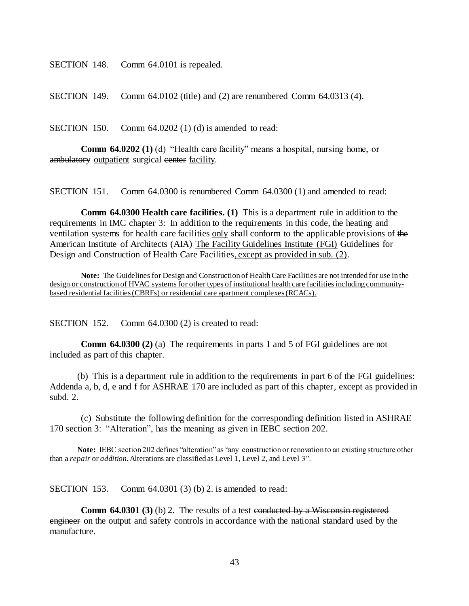SECTION 148. Comm 64.0101 is repealed.

SECTION 149. Comm 64.0102 (title) and (2) are renumbered Comm 64.0313 (4).

SECTION 150. Comm 64.0202 (1) (d) is amended to read:

**Comm 64.0202 (1)** (d) "Health care facility" means a hospital, nursing home, or ambulatory outpatient surgical center facility.

SECTION 151. Comm 64.0300 is renumbered Comm 64.0300 (1) and amended to read:

**Comm 64.0300 Health care facilities. (1)** This is a department rule in addition to the requirements in IMC chapter 3: In addition to the requirements in this code, the heating and ventilation systems for health care facilities only shall conform to the applicable provisions of the American Institute of Architects (AIA) The Facility Guidelines Institute (FGI) Guidelines for Design and Construction of Health Care Facilities, except as provided in sub. (2).

**Note:** The Guidelines for Design and Construction of Health Care Facilities are not intended for use in the design or construction of HVAC systems for other types of institutional health care facilities including communitybased residential facilities (CBRFs) or residential care apartment complexes (RCACs).

SECTION 152. Comm 64.0300 (2) is created to read:

**Comm 64.0300 (2)** (a) The requirements in parts 1 and 5 of FGI guidelines are not included as part of this chapter.

(b) This is a department rule in addition to the requirements in part 6 of the FGI guidelines: Addenda a, b, d, e and f for ASHRAE 170 are included as part of this chapter, except as provided in subd. 2.

(c) Substitute the following definition for the corresponding definition listed in ASHRAE 170 section 3: "Alteration", has the meaning as given in IEBC section 202.

**Note:** IEBC section 202 defines "alteration" as "any construction or renovation to an existing structure other than a *repair* or *addition*. Alterations are classified as Level 1, Level 2, and Level 3".

SECTION 153. Comm 64.0301 (3) (b) 2. is amended to read:

**Comm 64.0301 (3)** (b) 2. The results of a test conducted by a Wisconsin registered engineer on the output and safety controls in accordance with the national standard used by the manufacture.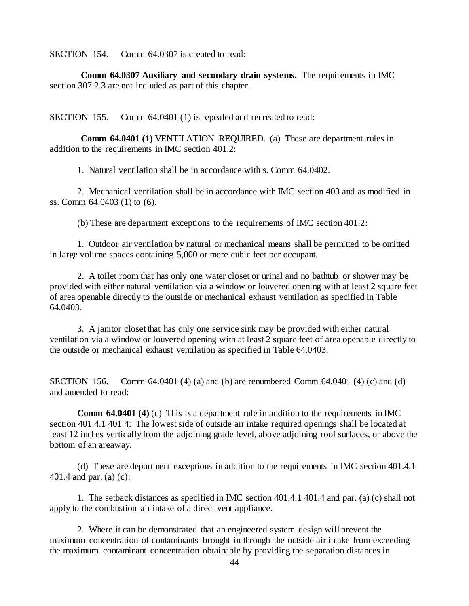SECTION 154. Comm 64.0307 is created to read:

**Comm 64.0307 Auxiliary and secondary drain systems.** The requirements in IMC section 307.2.3 are not included as part of this chapter.

SECTION 155. Comm 64.0401 (1) is repealed and recreated to read:

**Comm 64.0401 (1)** VENTILATION REQUIRED. (a) These are department rules in addition to the requirements in IMC section 401.2:

1. Natural ventilation shall be in accordance with s. Comm 64.0402.

2. Mechanical ventilation shall be in accordance with IMC section 403 and as modified in ss. Comm 64.0403 (1) to (6).

(b) These are department exceptions to the requirements of IMC section 401.2:

1. Outdoor air ventilation by natural or mechanical means shall be permitted to be omitted in large volume spaces containing 5,000 or more cubic feet per occupant.

2. A toilet room that has only one water closet or urinal and no bathtub or shower may be provided with either natural ventilation via a window or louvered opening with at least 2 square feet of area openable directly to the outside or mechanical exhaust ventilation as specified in Table 64.0403.

3. A janitor closet that has only one service sink may be provided with either natural ventilation via a window or louvered opening with at least 2 square feet of area openable directly to the outside or mechanical exhaust ventilation as specified in Table 64.0403.

SECTION 156. Comm 64.0401 (4) (a) and (b) are renumbered Comm 64.0401 (4) (c) and (d) and amended to read:

**Comm 64.0401 (4)** (c) This is a department rule in addition to the requirements in IMC section 401.4.1 401.4: The lowest side of outside air intake required openings shall be located at least 12 inches vertically from the adjoining grade level, above adjoining roof surfaces, or above the bottom of an areaway.

(d) These are department exceptions in addition to the requirements in IMC section 401.4.1  $401.4$  and par.  $(a)$  (c):

1. The setback distances as specified in IMC section  $401.4 \cdot 401.4$  and par.  $(a)$  (c) shall not apply to the combustion air intake of a direct vent appliance.

2. Where it can be demonstrated that an engineered system design will prevent the maximum concentration of contaminants brought in through the outside air intake from exceeding the maximum contaminant concentration obtainable by providing the separation distances in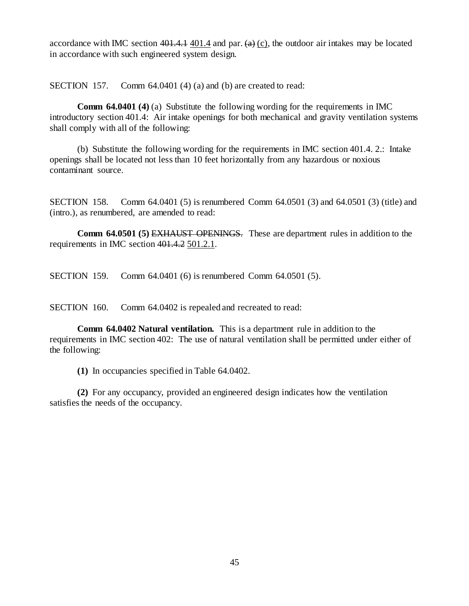accordance with IMC section  $401.4$ , 401.4 and par.  $(a)$  (c), the outdoor air intakes may be located in accordance with such engineered system design.

SECTION 157. Comm 64.0401 (4) (a) and (b) are created to read:

**Comm 64.0401 (4)** (a) Substitute the following wording for the requirements in IMC introductory section 401.4: Air intake openings for both mechanical and gravity ventilation systems shall comply with all of the following:

(b) Substitute the following wording for the requirements in IMC section 401.4. 2.: Intake openings shall be located not less than 10 feet horizontally from any hazardous or noxious contaminant source.

SECTION 158. Comm 64.0401 (5) is renumbered Comm 64.0501 (3) and 64.0501 (3) (title) and (intro.), as renumbered, are amended to read:

**Comm 64.0501 (5)** EXHAUST OPENINGS. These are department rules in addition to the requirements in IMC section 401.4.2 501.2.1.

SECTION 159. Comm 64.0401 (6) is renumbered Comm 64.0501 (5).

SECTION 160. Comm 64.0402 is repealed and recreated to read:

**Comm 64.0402 Natural ventilation.** This is a department rule in addition to the requirements in IMC section 402: The use of natural ventilation shall be permitted under either of the following:

**(1)** In occupancies specified in Table 64.0402.

**(2)** For any occupancy, provided an engineered design indicates how the ventilation satisfies the needs of the occupancy.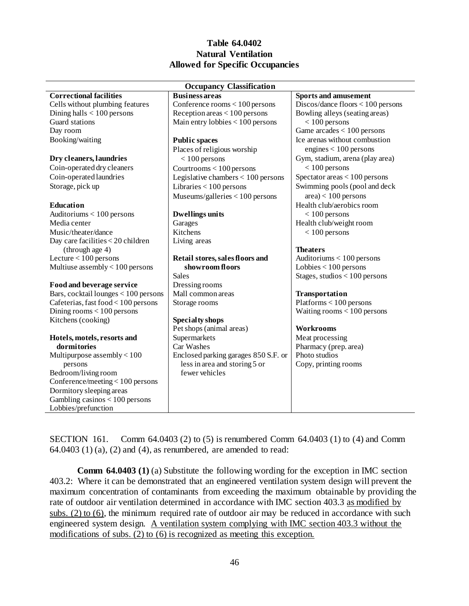## **Table 64.0402 Natural Ventilation Allowed for Specific Occupancies**

| <b>Occupancy Classification</b>        |                                      |                                     |  |  |
|----------------------------------------|--------------------------------------|-------------------------------------|--|--|
| <b>Correctional facilities</b>         | <b>Business areas</b>                | <b>Sports and amusement</b>         |  |  |
| Cells without plumbing features        | Conference rooms $< 100$ persons     | $Discos/dance$ floors < 100 persons |  |  |
| Dining halls $< 100$ persons           | Reception areas $< 100$ persons      | Bowling alleys (seating areas)      |  |  |
| Guard stations                         | Main entry lobbies < 100 persons     | $< 100$ persons                     |  |  |
| Day room                               |                                      | Game $arcades < 100$ persons        |  |  |
| Booking/waiting                        | <b>Public spaces</b>                 | Ice arenas without combustion       |  |  |
|                                        | Places of religious worship          | engines $< 100$ persons             |  |  |
| Dry cleaners, laundries                | $< 100$ persons                      | Gym, stadium, arena (play area)     |  |  |
| Coin-operated dry cleaners             | Courtrooms $< 100$ persons           | $< 100$ persons                     |  |  |
| Coin-operated laundries                | Legislative chambers $< 100$ persons | Spectator areas $< 100$ persons     |  |  |
| Storage, pick up                       | Libraries $< 100$ persons            | Swimming pools (pool and deck       |  |  |
|                                        | Museums/galleries < 100 persons      | $area$ < 100 persons                |  |  |
| Education                              |                                      | Health club/aerobics room           |  |  |
| Auditoriums < 100 persons              | <b>Dwellings units</b>               | $< 100$ persons                     |  |  |
| Media center                           | Garages                              | Health club/weight room             |  |  |
| Music/theater/dance                    | Kitchens                             | $< 100$ persons                     |  |  |
| Day care facilities < 20 children      | Living areas                         |                                     |  |  |
| (through age 4)                        |                                      | <b>Theaters</b>                     |  |  |
| Lecture $< 100$ persons                | Retail stores, sales floors and      | Auditoriums $< 100$ persons         |  |  |
| Multiuse assembly $< 100$ persons      | showroom floors                      | Lobbies $< 100$ persons             |  |  |
|                                        | <b>Sales</b>                         | Stages, studios $< 100$ persons     |  |  |
| Food and beverage service              | Dressing rooms                       |                                     |  |  |
| Bars, cocktail lounges $< 100$ persons | Mall common areas                    | Transportation                      |  |  |
| Cafeterias, fast food < 100 persons    | Storage rooms                        | $Platforms < 100$ persons           |  |  |
| Dining rooms $< 100$ persons           |                                      | Waiting rooms $< 100$ persons       |  |  |
| Kitchens (cooking)                     | Specialty shops                      |                                     |  |  |
|                                        | Pet shops (animal areas)             | Workrooms                           |  |  |
| Hotels, motels, resorts and            | Supermarkets                         | Meat processing                     |  |  |
| dormitories                            | Car Washes                           | Pharmacy (prep. area)               |  |  |
| Multipurpose assembly $< 100$          | Enclosed parking garages 850 S.F. or | Photo studios                       |  |  |
| persons                                | less in area and storing 5 or        | Copy, printing rooms                |  |  |
| Bedroom/living room                    | fewer vehicles                       |                                     |  |  |
| Conference/meeting $<$ 100 persons     |                                      |                                     |  |  |
| Dormitory sleeping areas               |                                      |                                     |  |  |
| Gambling casinos < 100 persons         |                                      |                                     |  |  |
| Lobbies/prefunction                    |                                      |                                     |  |  |

SECTION 161. Comm 64.0403 (2) to (5) is renumbered Comm 64.0403 (1) to (4) and Comm  $64.0403$  (1) (a), (2) and (4), as renumbered, are amended to read:

**Comm 64.0403 (1)** (a) Substitute the following wording for the exception in IMC section 403.2: Where it can be demonstrated that an engineered ventilation system design will prevent the maximum concentration of contaminants from exceeding the maximum obtainable by providing the rate of outdoor air ventilation determined in accordance with IMC section 403.3 as modified by subs. (2) to (6), the minimum required rate of outdoor air may be reduced in accordance with such engineered system design. A ventilation system complying with IMC section 403.3 without the modifications of subs. (2) to (6) is recognized as meeting this exception.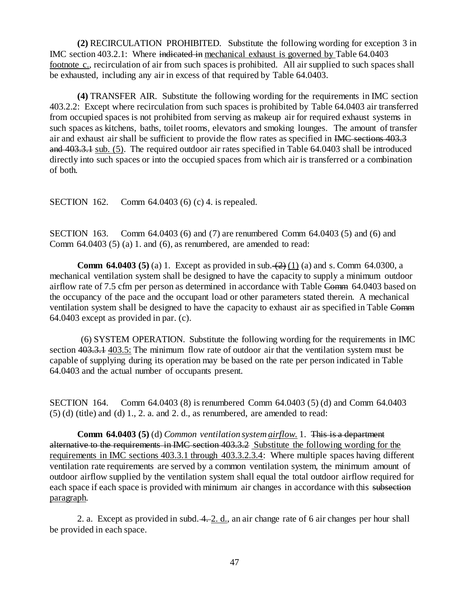**(2)** RECIRCULATION PROHIBITED. Substitute the following wording for exception 3 in IMC section 403.2.1: Where indicated in mechanical exhaust is governed by Table 64.0403 footnote c., recirculation of air from such spaces is prohibited. All air supplied to such spaces shall be exhausted, including any air in excess of that required by Table 64.0403.

**(4)** TRANSFER AIR. Substitute the following wording for the requirements in IMC section 403.2.2: Except where recirculation from such spaces is prohibited by Table 64.0403 air transferred from occupied spaces is not prohibited from serving as makeup air for required exhaust systems in such spaces as kitchens, baths, toilet rooms, elevators and smoking lounges. The amount of transfer air and exhaust air shall be sufficient to provide the flow rates as specified in IMC sections 403.3 and 403.3.1 sub. (5). The required outdoor air rates specified in Table 64.0403 shall be introduced directly into such spaces or into the occupied spaces from which air is transferred or a combination of both.

SECTION 162. Comm 64.0403 (6) (c) 4. is repealed.

SECTION 163. Comm 64.0403 (6) and (7) are renumbered Comm 64.0403 (5) and (6) and Comm  $64.0403(5)$  (a) 1. and (6), as renumbered, are amended to read:

**Comm 64.0403 (5)** (a) 1. Except as provided in sub.  $(2)$  (1) (a) and s. Comm 64.0300, a mechanical ventilation system shall be designed to have the capacity to supply a minimum outdoor airflow rate of 7.5 cfm per person as determined in accordance with Table Comm 64.0403 based on the occupancy of the pace and the occupant load or other parameters stated therein. A mechanical ventilation system shall be designed to have the capacity to exhaust air as specified in Table Comm 64.0403 except as provided in par. (c).

(6) SYSTEM OPERATION. Substitute the following wording for the requirements in IMC section 403.3.1 403.5: The minimum flow rate of outdoor air that the ventilation system must be capable of supplying during its operation may be based on the rate per person indicated in Table 64.0403 and the actual number of occupants present.

SECTION 164. Comm 64.0403 (8) is renumbered Comm 64.0403 (5) (d) and Comm 64.0403  $(5)$  (d) (title) and (d) 1, 2, a, and 2, d., as renumbered, are amended to read:

**Comm 64.0403 (5)** (d) *Common ventilation system airflow.* 1. This is a department alternative to the requirements in IMC section 403.3.2 Substitute the following wording for the requirements in IMC sections 403.3.1 through 403.3.2.3.4: Where multiple spaces having different ventilation rate requirements are served by a common ventilation system, the minimum amount of outdoor airflow supplied by the ventilation system shall equal the total outdoor airflow required for each space if each space is provided with minimum air changes in accordance with this subsection paragraph.

2. a. Except as provided in subd. 4. 2. d., an air change rate of 6 air changes per hour shall be provided in each space.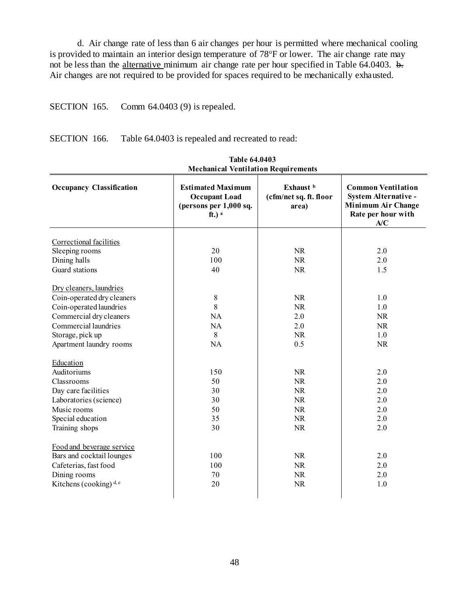d. Air change rate of less than 6 air changes per hour is permitted where mechanical cooling is provided to maintain an interior design temperature of 78°F or lower. The air change rate may not be less than the alternative minimum air change rate per hour specified in Table 64.0403. b. Air changes are not required to be provided for spaces required to be mechanically exhausted.

## SECTION 165. Comm 64.0403 (9) is repealed.

SECTION 166. Table 64.0403 is repealed and recreated to read:

| iviccham car venutration inequitements |                                                                                                   |                                              |                                                                                                      |  |  |
|----------------------------------------|---------------------------------------------------------------------------------------------------|----------------------------------------------|------------------------------------------------------------------------------------------------------|--|--|
| <b>Occupancy Classification</b>        | <b>Estimated Maximum</b><br><b>Occupant Load</b><br>(persons per 1,000 sq.<br>$ft.)$ <sup>a</sup> | Exhaust b<br>(cfm/net sq. ft. floor<br>area) | <b>Common Ventilation</b><br>System Alternative -<br>Minimum Air Change<br>Rate per hour with<br>A/C |  |  |
|                                        |                                                                                                   |                                              |                                                                                                      |  |  |
| Correctional facilities                |                                                                                                   |                                              |                                                                                                      |  |  |
| Sleeping rooms                         | 20                                                                                                | <b>NR</b>                                    | 2.0                                                                                                  |  |  |
| Dining halls                           | 100                                                                                               | <b>NR</b>                                    | 2.0                                                                                                  |  |  |
| Guard stations                         | 40                                                                                                | <b>NR</b>                                    | 1.5                                                                                                  |  |  |
|                                        |                                                                                                   |                                              |                                                                                                      |  |  |
| Dry cleaners, laundries                |                                                                                                   |                                              |                                                                                                      |  |  |
| Coin-operated dry cleaners             | $\,8\,$                                                                                           | <b>NR</b>                                    | 1.0                                                                                                  |  |  |
| Coin-operated laundries                | 8                                                                                                 | <b>NR</b>                                    | 1.0                                                                                                  |  |  |
| Commercial dry cleaners                | NA                                                                                                | 2.0                                          | <b>NR</b>                                                                                            |  |  |
| Commercial laundries                   | NA                                                                                                | 2.0                                          | <b>NR</b>                                                                                            |  |  |
| Storage, pick up                       | 8                                                                                                 | <b>NR</b>                                    | 1.0                                                                                                  |  |  |
| Apartment laundry rooms                | <b>NA</b>                                                                                         | 0.5                                          | <b>NR</b>                                                                                            |  |  |
| Education                              |                                                                                                   |                                              |                                                                                                      |  |  |
| Auditoriums                            | 150                                                                                               | <b>NR</b>                                    | 2.0                                                                                                  |  |  |
| Classrooms                             | 50                                                                                                | <b>NR</b>                                    | 2.0                                                                                                  |  |  |
| Day care facilities                    | 30                                                                                                | NR                                           | 2.0                                                                                                  |  |  |
| Laboratories (science)                 | 30                                                                                                | <b>NR</b>                                    | 2.0                                                                                                  |  |  |
| Music rooms                            | 50                                                                                                | <b>NR</b>                                    | 2.0                                                                                                  |  |  |
| Special education                      | 35                                                                                                | <b>NR</b>                                    | 2.0                                                                                                  |  |  |
| Training shops                         | 30                                                                                                | <b>NR</b>                                    | 2.0                                                                                                  |  |  |
|                                        |                                                                                                   |                                              |                                                                                                      |  |  |
| Food and beverage service              |                                                                                                   |                                              |                                                                                                      |  |  |
| Bars and cocktail lounges              | 100                                                                                               | <b>NR</b>                                    | 2.0                                                                                                  |  |  |
| Cafeterias, fast food                  | 100                                                                                               | <b>NR</b>                                    | 2.0                                                                                                  |  |  |
| Dining rooms                           | 70                                                                                                | <b>NR</b>                                    | 2.0                                                                                                  |  |  |
| Kitchens (cooking) $d,e$               | 20                                                                                                | NR                                           | 1.0                                                                                                  |  |  |
|                                        |                                                                                                   |                                              |                                                                                                      |  |  |

**Table 64.0403 Mechanical Ventilation Requirements**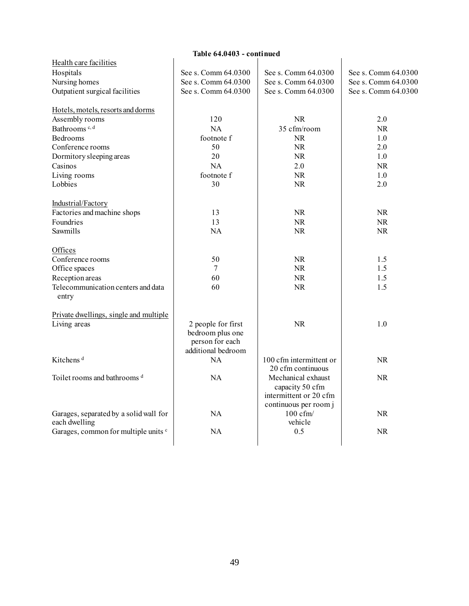| Table 64.0403 - continued                               |                     |                                                                                          |                     |  |
|---------------------------------------------------------|---------------------|------------------------------------------------------------------------------------------|---------------------|--|
| Health care facilities                                  |                     |                                                                                          |                     |  |
| Hospitals                                               | See s. Comm 64.0300 | See s. Comm 64.0300                                                                      | See s. Comm 64.0300 |  |
| Nursing homes                                           | See s. Comm 64.0300 | See s. Comm 64.0300                                                                      | See s. Comm 64.0300 |  |
| Outpatient surgical facilities                          | See s. Comm 64.0300 | See s. Comm 64.0300                                                                      | See s. Comm 64.0300 |  |
| Hotels, motels, resorts and dorms                       |                     |                                                                                          |                     |  |
| Assembly rooms                                          | 120                 | <b>NR</b>                                                                                | 2.0                 |  |
| Bathrooms <sup>c, d</sup>                               | NA                  | 35 cfm/room                                                                              | <b>NR</b>           |  |
| <b>Bedrooms</b>                                         | footnote f          | NR.                                                                                      | 1.0                 |  |
| Conference rooms                                        | 50                  | NR.                                                                                      | 2.0                 |  |
| Dormitory sleeping areas                                | 20                  | NR.                                                                                      | 1.0                 |  |
| Casinos                                                 | NA                  | 2.0                                                                                      | <b>NR</b>           |  |
| Living rooms                                            | footnote f          | NR                                                                                       | 1.0                 |  |
| Lobbies                                                 | 30                  | NR.                                                                                      | 2.0                 |  |
| Industrial/Factory                                      |                     |                                                                                          |                     |  |
| Factories and machine shops                             | 13                  | NR.                                                                                      | NR                  |  |
| Foundries                                               | 13                  | NR.                                                                                      | NR                  |  |
| Sawmills                                                | <b>NA</b>           | NR.                                                                                      | <b>NR</b>           |  |
| Offices                                                 |                     |                                                                                          |                     |  |
| Conference rooms                                        | 50                  | NR.                                                                                      | 1.5                 |  |
| Office spaces                                           | 7                   | NR.                                                                                      | 1.5                 |  |
| Reception areas                                         | 60                  | NR                                                                                       | 1.5                 |  |
| Telecommunication centers and data<br>entry             | 60                  | <b>NR</b>                                                                                | 1.5                 |  |
| Private dwellings, single and multiple                  |                     |                                                                                          |                     |  |
| Living areas                                            | 2 people for first  | <b>NR</b>                                                                                | 1.0                 |  |
|                                                         | bedroom plus one    |                                                                                          |                     |  |
|                                                         | person for each     |                                                                                          |                     |  |
|                                                         | additional bedroom  |                                                                                          |                     |  |
| Kitchens <sup>d</sup>                                   | NA                  | 100 cfm intermittent or<br>20 cfm continuous                                             | <b>NR</b>           |  |
| Toilet rooms and bathrooms <sup>d</sup>                 | <b>NA</b>           | Mechanical exhaust<br>capacity 50 cfm<br>intermittent or 20 cfm<br>continuous per room j | <b>NR</b>           |  |
| Garages, separated by a solid wall for<br>each dwelling | NA                  | $100 \text{ cfm}$<br>vehicle                                                             | NR                  |  |
| Garages, common for multiple units c                    | NA                  | 0.5                                                                                      | <b>NR</b>           |  |
|                                                         |                     |                                                                                          |                     |  |

# 49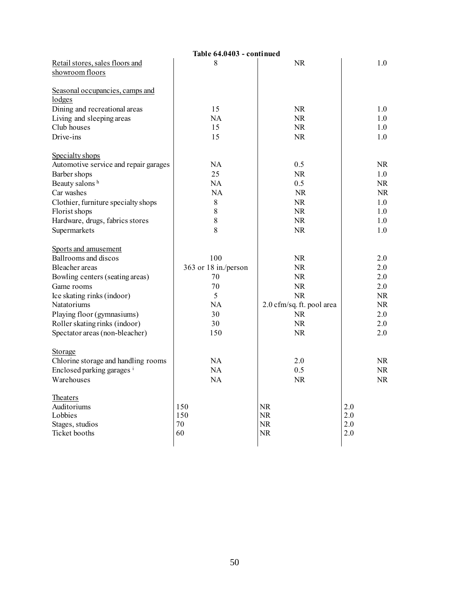|                                       | Table 64.0403 - continued |                           |           |
|---------------------------------------|---------------------------|---------------------------|-----------|
| Retail stores, sales floors and       | 8                         | NR.                       | 1.0       |
| showroom floors                       |                           |                           |           |
|                                       |                           |                           |           |
| Seasonal occupancies, camps and       |                           |                           |           |
| lodges                                |                           |                           |           |
| Dining and recreational areas         | 15                        | <b>NR</b>                 | 1.0       |
| Living and sleeping areas             | NA                        | NR                        | 1.0       |
| Club houses                           | 15                        | NR.                       | 1.0       |
| Drive-ins                             | 15                        | NR.                       | 1.0       |
| Specialty shops                       |                           |                           |           |
| Automotive service and repair garages | NA                        | 0.5                       | NR.       |
| Barber shops                          | 25                        | <b>NR</b>                 | 1.0       |
| Beauty salons h                       | NA                        | 0.5                       | <b>NR</b> |
| Car washes                            |                           |                           |           |
|                                       | NA                        | <b>NR</b>                 | NR.       |
| Clothier, furniture specialty shops   | $8\,$                     | NR                        | 1.0       |
| Florist shops                         | 8                         | NR.                       | 1.0       |
| Hardware, drugs, fabrics stores       | $\,$ $\,$                 | NR.                       | 1.0       |
| Supermarkets                          | 8                         | NR.                       | 1.0       |
| Sports and amusement                  |                           |                           |           |
| Ballrooms and discos                  | 100                       | NR.                       | 2.0       |
| Bleacher areas                        | 363 or 18 in./person      | <b>NR</b>                 | 2.0       |
| Bowling centers (seating areas)       | 70                        | NR.                       | 2.0       |
| Game rooms                            | 70                        | NR.                       | 2.0       |
| Ice skating rinks (indoor)            | 5                         | NR                        | NR.       |
| Natatoriums                           | <b>NA</b>                 | 2.0 cfm/sq. ft. pool area | NR        |
| Playing floor (gymnasiums)            | 30                        | NR.                       | 2.0       |
| Roller skating rinks (indoor)         | 30                        | NR.                       | 2.0       |
| Spectator areas (non-bleacher)        | 150                       | <b>NR</b>                 | 2.0       |
|                                       |                           |                           |           |
| Storage                               |                           |                           |           |
| Chlorine storage and handling rooms   | NA                        | 2.0                       | NR.       |
| Enclosed parking garages i            | NA                        | 0.5                       | NR.       |
| Warehouses                            | NA                        | NR.                       | NR.       |
| <b>Theaters</b>                       |                           |                           |           |
| Auditoriums                           | 150                       | NR.                       | 2.0       |
| Lobbies                               | 150                       | <b>NR</b>                 | 2.0       |
| Stages, studios                       | 70                        | <b>NR</b>                 | 2.0       |
| Ticket booths                         | 60                        | NR                        | 2.0       |
|                                       |                           |                           |           |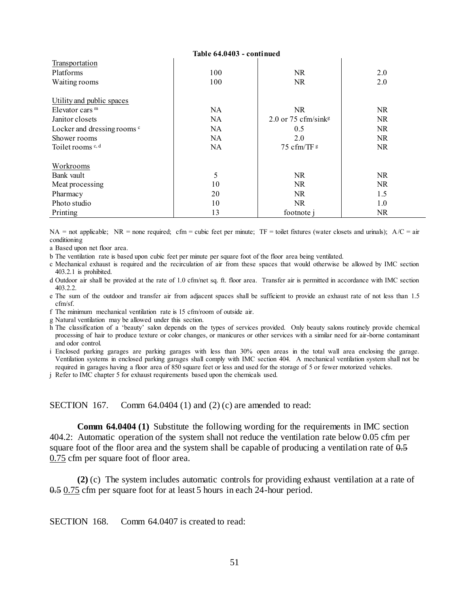| Table 64.0403 - continued              |           |                                 |           |  |
|----------------------------------------|-----------|---------------------------------|-----------|--|
| Transportation                         |           |                                 |           |  |
| Platforms                              | 100       | NR.                             | 2.0       |  |
| Waiting rooms                          | 100       | NR                              | 2.0       |  |
|                                        |           |                                 |           |  |
| Utility and public spaces              |           |                                 |           |  |
| Elevator cars $m$                      | NA.       | <b>NR</b>                       | NR.       |  |
| Janitor closets                        | NA.       | 2.0 or 75 cfm/sink <sup>g</sup> | NR.       |  |
| Locker and dressing rooms <sup>c</sup> | NA.       | 0.5                             | NR.       |  |
| Shower rooms                           | NA.       | 2.0                             | NR.       |  |
| Toilet rooms $c, d$                    | <b>NA</b> | 75 cfm/TF g                     | NR.       |  |
|                                        |           |                                 |           |  |
| Workrooms                              |           |                                 |           |  |
| Bank vault                             | 5         | NR                              | NR.       |  |
| Meat processing                        | 10        | NR.                             | NR.       |  |
| Pharmacy                               | 20        | NR.                             | 1.5       |  |
| Photo studio                           | 10        | <b>NR</b>                       | 1.0       |  |
| Printing                               | 13        | footnote j                      | <b>NR</b> |  |

NA = not applicable; NR = none required; cfm = cubic feet per minute; TF = toilet fixtures (water closets and urinals);  $A/C = air$ conditioning

a Based upon net floor area.

b The ventilation rate is based upon cubic feet per minute per square foot of the floor area being ventilated.

c Mechanical exhaust is required and the recirculation of air from these spaces that would otherwise be allowed by IMC section 403.2.1 is prohibited.

d Outdoor air shall be provided at the rate of 1.0 cfm/net sq. ft. floor area. Transfer air is permitted in accordance with IMC section 403.2.2.

e The sum of the outdoor and transfer air from adjacent spaces shall be sufficient to provide an exhaust rate of not less than 1.5 cfm/sf.

f The minimum mechanical ventilation rate is 15 cfm/room of outside air.

g Natural ventilation may be allowed under this section.

h The classification of a 'beauty' salon depends on the types of services provided. Only beauty salons routinely provide chemical processing of hair to produce texture or color changes, or manicures or other services with a similar need for air-borne contaminant and odor control.

i Enclosed parking garages are parking garages with less than 30% open areas in the total wall area enclosing the garage. Ventilation systems in enclosed parking garages shall comply with IMC section 404. A mechanical ventilation system shall not be required in garages having a floor area of 850 square feet or less and used for the storage of 5 or fewer motorized vehicles.

j Refer to IMC chapter 5 for exhaust requirements based upon the chemicals used.

SECTION 167. Comm 64.0404 (1) and (2) (c) are amended to read:

**Comm 64.0404 (1)** Substitute the following wording for the requirements in IMC section 404.2: Automatic operation of the system shall not reduce the ventilation rate below 0.05 cfm per square foot of the floor area and the system shall be capable of producing a ventilation rate of  $0.5$ 0.75 cfm per square foot of floor area.

**(2)** (c) The system includes automatic controls for providing exhaust ventilation at a rate of 0.5 0.75 cfm per square foot for at least 5 hours in each 24-hour period.

SECTION 168. Comm 64.0407 is created to read: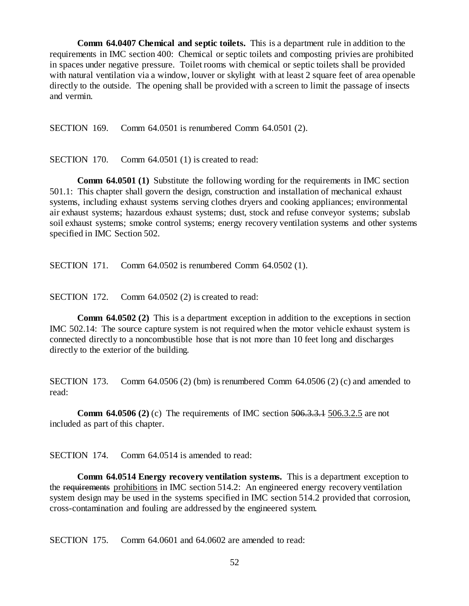**Comm 64.0407 Chemical and septic toilets.** This is a department rule in addition to the requirements in IMC section 400: Chemical or septic toilets and composting privies are prohibited in spaces under negative pressure. Toilet rooms with chemical or septic toilets shall be provided with natural ventilation via a window, louver or skylight with at least 2 square feet of area openable directly to the outside. The opening shall be provided with a screen to limit the passage of insects and vermin.

SECTION 169. Comm 64.0501 is renumbered Comm 64.0501 (2).

SECTION 170. Comm 64.0501 (1) is created to read:

**Comm 64.0501 (1)** Substitute the following wording for the requirements in IMC section 501.1: This chapter shall govern the design, construction and installation of mechanical exhaust systems, including exhaust systems serving clothes dryers and cooking appliances; environmental air exhaust systems; hazardous exhaust systems; dust, stock and refuse conveyor systems; subslab soil exhaust systems; smoke control systems; energy recovery ventilation systems and other systems specified in IMC Section 502.

SECTION 171. Comm 64.0502 is renumbered Comm 64.0502 (1).

SECTION 172. Comm 64.0502 (2) is created to read:

**Comm 64.0502 (2)** This is a department exception in addition to the exceptions in section IMC 502.14: The source capture system is not required when the motor vehicle exhaust system is connected directly to a noncombustible hose that is not more than 10 feet long and discharges directly to the exterior of the building.

SECTION 173. Comm  $64.0506$  (2) (bm) is renumbered Comm  $64.0506$  (2) (c) and amended to read:

**Comm 64.0506 (2)** (c) The requirements of IMC section 506.3.3.1 506.3.2.5 are not included as part of this chapter.

SECTION 174. Comm 64.0514 is amended to read:

**Comm 64.0514 Energy recovery ventilation systems.** This is a department exception to the requirements prohibitions in IMC section  $514.2$ : An engineered energy recovery ventilation system design may be used in the systems specified in IMC section 514.2 provided that corrosion, cross-contamination and fouling are addressed by the engineered system.

SECTION 175. Comm 64.0601 and 64.0602 are amended to read: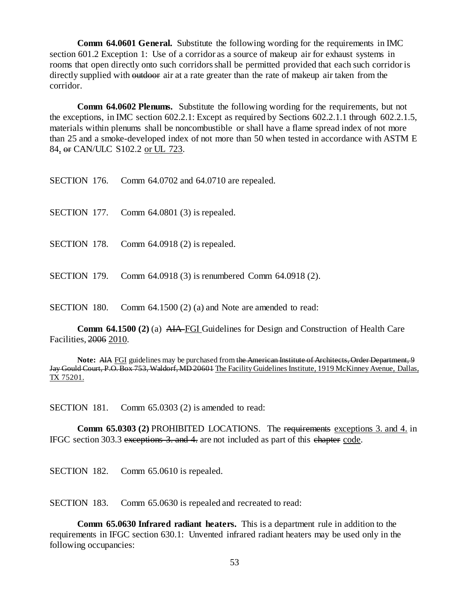**Comm 64.0601 General.** Substitute the following wording for the requirements in IMC section 601.2 Exception 1: Use of a corridor as a source of makeup air for exhaust systems in rooms that open directly onto such corridors shall be permitted provided that each such corridor is directly supplied with outdoor air at a rate greater than the rate of makeup air taken from the corridor.

**Comm 64.0602 Plenums.** Substitute the following wording for the requirements, but not the exceptions, in IMC section 602.2.1: Except as required by Sections 602.2.1.1 through 602.2.1.5, materials within plenums shall be noncombustible or shall have a flame spread index of not more than 25 and a smoke-developed index of not more than 50 when tested in accordance with ASTM E 84, or CAN/ULC S102.2 or UL 723.

| SECTION 176. |  | Comm 64.0702 and 64.0710 are repealed. |  |  |
|--------------|--|----------------------------------------|--|--|
|--------------|--|----------------------------------------|--|--|

SECTION 177. Comm 64.0801 (3) is repealed.

SECTION 178. Comm 64.0918 (2) is repealed.

SECTION 179. Comm 64.0918 (3) is renumbered Comm 64.0918 (2).

SECTION 180. Comm 64.1500 (2) (a) and Note are amended to read:

**Comm 64.1500 (2)** (a) AIA FGI Guidelines for Design and Construction of Health Care Facilities, 2006 2010.

**Note:** AIA FGI guidelines may be purchased from the American Institute of Architects, Order Department, 9 Jay Gould Court, P.O. Box 753, Waldorf, MD 20601 The Facility Guidelines Institute, 1919 McKinney Avenue, Dallas, TX 75201.

SECTION 181. Comm 65.0303 (2) is amended to read:

**Comm 65.0303 (2)** PROHIBITED LOCATIONS. The requirements exceptions 3. and 4. in IFGC section 303.3 exceptions 3. and 4. are not included as part of this chapter code.

SECTION 182. Comm 65.0610 is repealed.

SECTION 183. Comm 65.0630 is repealed and recreated to read:

**Comm 65.0630 Infrared radiant heaters.** This is a department rule in addition to the requirements in IFGC section 630.1: Unvented infrared radiant heaters may be used only in the following occupancies: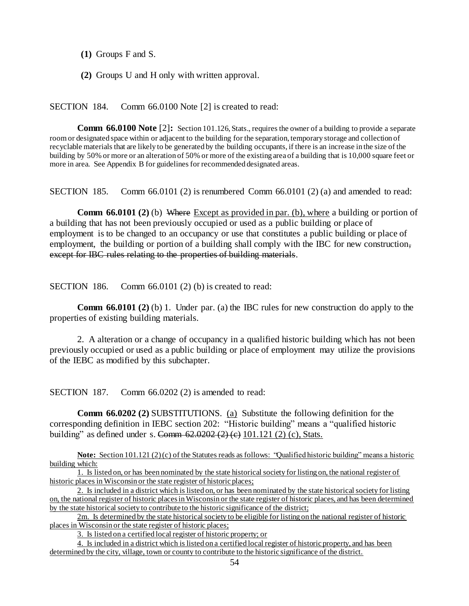**(1)** Groups F and S.

**(2)** Groups U and H only with written approval.

SECTION 184. Comm 66.0100 Note [2] is created to read:

**Comm 66.0100 Note** [2]: Section 101.126, Stats., requires the owner of a building to provide a separate room or designated space within or adjacent to the building for the separation, temporary storage and collection of recyclable materials that are likely to be generated by the building occupants, if there is an increase in the size of the building by 50% or more or an alteration of 50% or more of the existing area of a building that is 10,000 square feet or more in area. See Appendix B for guidelines for recommended designated areas.

SECTION 185. Comm 66.0101 (2) is renumbered Comm 66.0101 (2) (a) and amended to read:

**Comm 66.0101 (2)** (b) Where Except as provided in par. (b), where a building or portion of a building that has not been previously occupied or used as a public building or place of employment is to be changed to an occupancy or use that constitutes a public building or place of employment, the building or portion of a building shall comply with the IBC for new construction, except for IBC rules relating to the properties of building materials.

SECTION 186. Comm 66.0101 (2) (b) is created to read:

**Comm 66.0101 (2)** (b) 1. Under par. (a) the IBC rules for new construction do apply to the properties of existing building materials.

2. A alteration or a change of occupancy in a qualified historic building which has not been previously occupied or used as a public building or place of employment may utilize the provisions of the IEBC as modified by this subchapter.

SECTION 187. Comm 66.0202 (2) is amended to read:

**Comm 66.0202 (2)** SUBSTITUTIONS. (a) Substitute the following definition for the corresponding definition in IEBC section 202: "Historic building" means a "qualified historic building" as defined under s. Comm  $62.0202 (2) (e) 101.121 (2) (c)$ , Stats.

**Note:** Section 101.121 (2) (c) of the Statutes reads as follows: "Qualified historic building" means a historic building which:

2m. Is determined by the state historical society to be eligible for listing on the national register of historic places in Wisconsin or the state register of historic places;

3. Is listed on a certified local register of historic property; or

4. Is included in a district which is listed on a certified local register of historic property, and has been determined by the city, village, town or county to contribute to the historic significance of the district.

<sup>1.</sup> Is listed on, or has been nominated by the state historical society for listing on, the national register of historic places in Wisconsin or the state register of historic places;

<sup>2.</sup> Is included in a district which is listed on, or has been nominated by the state historical society for listing on, the national register of historic places in Wisconsin or the state register of historic places, and has been determined by the state historical society to contribute to the historic significance of the district;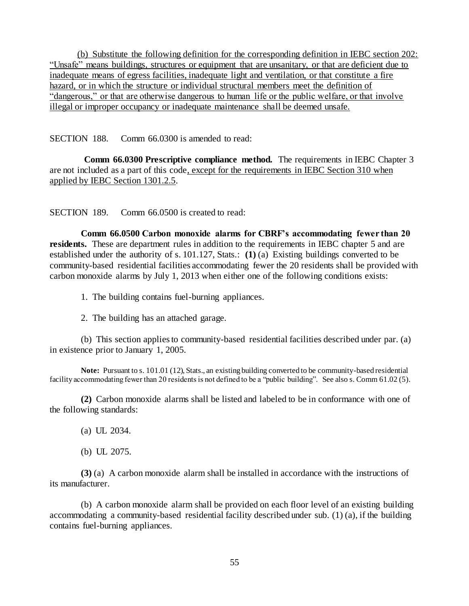(b) Substitute the following definition for the corresponding definition in IEBC section 202: "Unsafe" means buildings, structures or equipment that are unsanitary, or that are deficient due to inadequate means of egress facilities, inadequate light and ventilation, or that constitute a fire hazard, or in which the structure or individual structural members meet the definition of "dangerous," or that are otherwise dangerous to human life or the public welfare, or that involve illegal or improper occupancy or inadequate maintenance shall be deemed unsafe.

SECTION 188. Comm 66.0300 is amended to read:

**Comm 66.0300 Prescriptive compliance method.** The requirements in IEBC Chapter 3 are not included as a part of this code, except for the requirements in IEBC Section 310 when applied by IEBC Section 1301.2.5.

SECTION 189. Comm 66.0500 is created to read:

**Comm 66.0500 Carbon monoxide alarms for CBRF's accommodating fewer than 20 residents.** These are department rules in addition to the requirements in IEBC chapter 5 and are established under the authority of s. 101.127, Stats.: **(1)** (a) Existing buildings converted to be community-based residential facilities accommodating fewer the 20 residents shall be provided with carbon monoxide alarms by July 1, 2013 when either one of the following conditions exists:

1. The building contains fuel-burning appliances.

2. The building has an attached garage.

(b) This section applies to community-based residential facilities described under par. (a) in existence prior to January 1, 2005.

**Note:** Pursuant to s. 101.01 (12), Stats., an existing building converted to be community-based residential facility accommodating fewer than 20 residents is not defined to be a "public building". See also s. Comm 61.02 (5).

**(2)** Carbon monoxide alarms shall be listed and labeled to be in conformance with one of the following standards:

(a) UL 2034.

(b) UL 2075.

**(3)** (a) A carbon monoxide alarm shall be installed in accordance with the instructions of its manufacturer.

(b) A carbon monoxide alarm shall be provided on each floor level of an existing building accommodating a community-based residential facility described under sub. (1) (a), if the building contains fuel-burning appliances.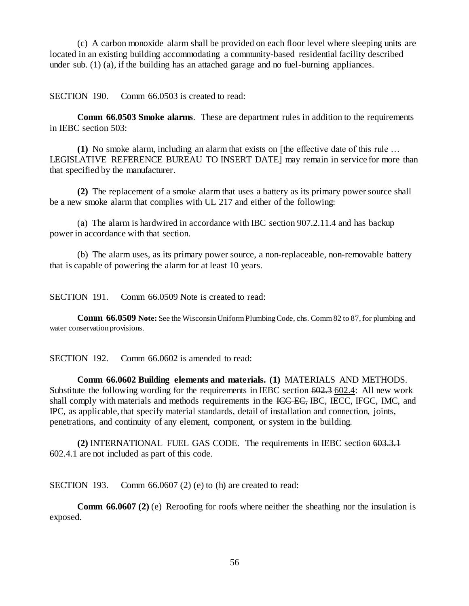(c) A carbon monoxide alarm shall be provided on each floor level where sleeping units are located in an existing building accommodating a community-based residential facility described under sub. (1) (a), if the building has an attached garage and no fuel-burning appliances.

SECTION 190. Comm 66.0503 is created to read:

**Comm 66.0503 Smoke alarms**. These are department rules in addition to the requirements in IEBC section 503:

**(1)** No smoke alarm, including an alarm that exists on [the effective date of this rule … LEGISLATIVE REFERENCE BUREAU TO INSERT DATE] may remain in service for more than that specified by the manufacturer.

**(2)** The replacement of a smoke alarm that uses a battery as its primary power source shall be a new smoke alarm that complies with UL 217 and either of the following:

(a) The alarm is hardwired in accordance with IBC section 907.2.11.4 and has backup power in accordance with that section.

(b) The alarm uses, as its primary power source, a non-replaceable, non-removable battery that is capable of powering the alarm for at least 10 years.

SECTION 191. Comm 66.0509 Note is created to read:

**Comm 66.0509 Note:** See the Wisconsin Uniform Plumbing Code, chs. Comm 82 to 87, for plumbing and water conservation provisions.

SECTION 192. Comm 66.0602 is amended to read:

**Comm 66.0602 Building elements and materials. (1)** MATERIALS AND METHODS. Substitute the following wording for the requirements in IEBC section 602.3 602.4: All new work shall comply with materials and methods requirements in the ICC EC, IBC, IECC, IFGC, IMC, and IPC, as applicable, that specify material standards, detail of installation and connection, joints, penetrations, and continuity of any element, component, or system in the building.

**(2)** INTERNATIONAL FUEL GAS CODE. The requirements in IEBC section 603.3.1 602.4.1 are not included as part of this code.

SECTION 193. Comm 66.0607 (2) (e) to (h) are created to read:

**Comm 66.0607 (2)** (e) Reroofing for roofs where neither the sheathing nor the insulation is exposed.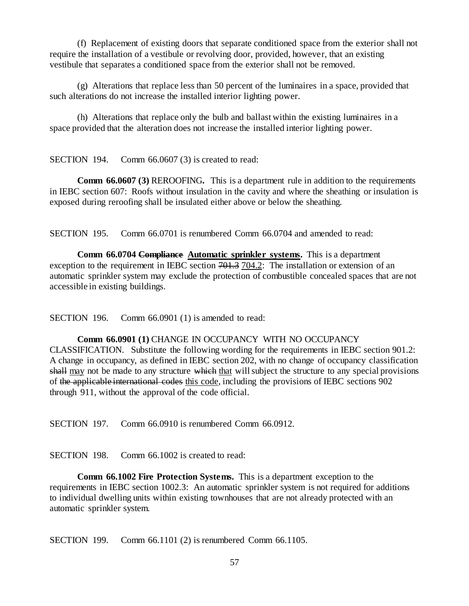(f) Replacement of existing doors that separate conditioned space from the exterior shall not require the installation of a vestibule or revolving door, provided, however, that an existing vestibule that separates a conditioned space from the exterior shall not be removed.

(g) Alterations that replace less than 50 percent of the luminaires in a space, provided that such alterations do not increase the installed interior lighting power.

(h) Alterations that replace only the bulb and ballast within the existing luminaires in a space provided that the alteration does not increase the installed interior lighting power.

SECTION 194. Comm 66.0607 (3) is created to read:

**Comm 66.0607 (3)** REROOFING**.** This is a department rule in addition to the requirements in IEBC section 607: Roofs without insulation in the cavity and where the sheathing or insulation is exposed during reroofing shall be insulated either above or below the sheathing.

SECTION 195. Comm 66.0701 is renumbered Comm 66.0704 and amended to read:

**Comm 66.0704 Compliance Automatic sprinkler systems.** This is a department exception to the requirement in IEBC section  $701.3$  704.2: The installation or extension of an automatic sprinkler system may exclude the protection of combustible concealed spaces that are not accessible in existing buildings.

SECTION 196. Comm 66.0901 (1) is amended to read:

**Comm 66.0901 (1)** CHANGE IN OCCUPANCY WITH NO OCCUPANCY CLASSIFICATION. Substitute the following wording for the requirements in IEBC section 901.2: A change in occupancy, as defined in IEBC section 202, with no change of occupancy classification shall may not be made to any structure which that will subject the structure to any special provisions of the applicable international codes this code, including the provisions of IEBC sections 902 through 911, without the approval of the code official.

SECTION 197. Comm 66.0910 is renumbered Comm 66.0912.

SECTION 198. Comm 66.1002 is created to read:

**Comm 66.1002 Fire Protection Systems.** This is a department exception to the requirements in IEBC section 1002.3: An automatic sprinkler system is not required for additions to individual dwelling units within existing townhouses that are not already protected with an automatic sprinkler system.

SECTION 199. Comm 66.1101 (2) is renumbered Comm 66.1105.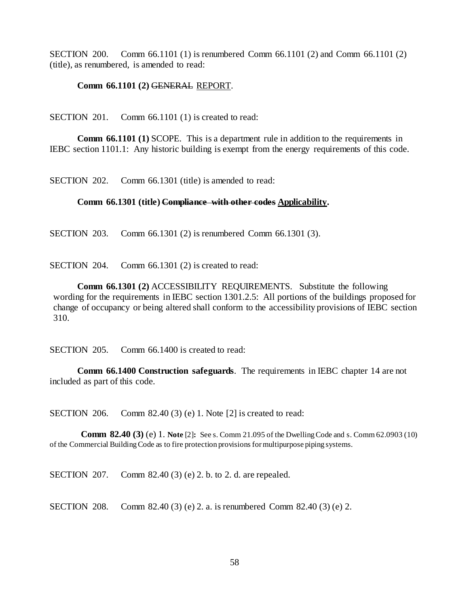SECTION 200. Comm 66.1101 (1) is renumbered Comm 66.1101 (2) and Comm 66.1101 (2) (title), as renumbered, is amended to read:

### **Comm 66.1101 (2)** GENERAL REPORT.

SECTION 201. Comm 66.1101 (1) is created to read:

**Comm 66.1101 (1)** SCOPE. This is a department rule in addition to the requirements in IEBC section 1101.1: Any historic building is exempt from the energy requirements of this code.

SECTION 202. Comm 66.1301 (title) is amended to read:

#### **Comm 66.1301 (title) Compliance with other codes Applicability.**

SECTION 203. Comm 66.1301 (2) is renumbered Comm 66.1301 (3).

SECTION 204. Comm 66.1301 (2) is created to read:

**Comm 66.1301 (2)** ACCESSIBILITY REQUIREMENTS. Substitute the following wording for the requirements in IEBC section 1301.2.5: All portions of the buildings proposed for change of occupancy or being altered shall conform to the accessibility provisions of IEBC section 310.

SECTION 205. Comm 66.1400 is created to read:

**Comm 66.1400 Construction safeguards**. The requirements in IEBC chapter 14 are not included as part of this code.

SECTION 206. Comm 82.40 (3) (e) 1. Note [2] is created to read:

**Comm 82.40 (3)** (e) 1. **Note** [2]**:** See s. Comm 21.095 of the Dwelling Code and s. Comm 62.0903 (10) of the Commercial Building Code as to fire protection provisions for multipurpose piping systems.

SECTION 207. Comm 82.40 (3) (e) 2. b. to 2. d. are repealed.

SECTION 208. Comm 82.40 (3) (e) 2. a. is renumbered Comm 82.40 (3) (e) 2.